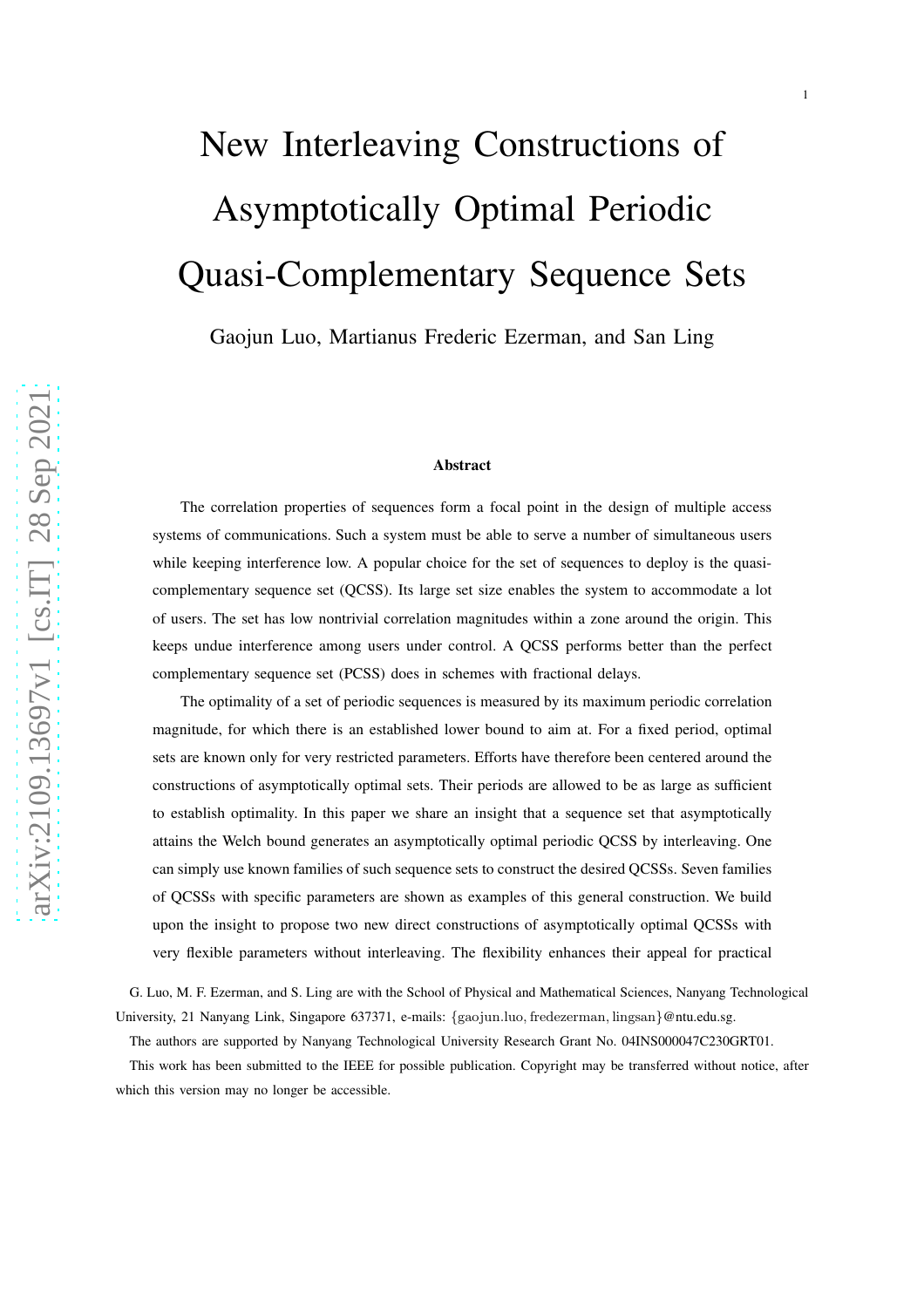# New Interleaving Constructions of Asymptotically Optimal Periodic Quasi-Complementary Sequence Sets

1

Gaojun Luo, Martianus Frederic Ezerman, and San Ling

#### Abstract

The correlation properties of sequences form a focal point in the design of multiple access systems of communications. Such a system must be able to serve a number of simultaneous users while keeping interference low. A popular choice for the set of sequences to deploy is the quasicomplementary sequence set (QCSS). Its large set size enables the system to accommodate a lot of users. The set has low nontrivial correlation magnitudes within a zone around the origin. This keeps undue interference among users under control. A QCSS performs better than the perfect complementary sequence set (PCSS) does in schemes with fractional delays.

The optimality of a set of periodic sequences is measured by its maximum periodic correlation magnitude, for which there is an established lower bound to aim at. For a fixed period, optimal sets are known only for very restricted parameters. Efforts have therefore been centered around the constructions of asymptotically optimal sets. Their periods are allowed to be as large as sufficient to establish optimality. In this paper we share an insight that a sequence set that asymptotically attains the Welch bound generates an asymptotically optimal periodic QCSS by interleaving. One can simply use known families of such sequence sets to construct the desired QCSSs. Seven families of QCSSs with specific parameters are shown as examples of this general construction. We build upon the insight to propose two new direct constructions of asymptotically optimal QCSSs with very flexible parameters without interleaving. The flexibility enhances their appeal for practical

G. Luo, M. F. Ezerman, and S. Ling are with the School of Physical and Mathematical Sciences, Nanyang Technological University, 21 Nanyang Link, Singapore 637371, e-mails: {gaojun.luo, fredezerman, lingsan}@ntu.edu.sg.

The authors are supported by Nanyang Technological University Research Grant No. 04INS000047C230GRT01.

This work has been submitted to the IEEE for possible publication. Copyright may be transferred without notice, after which this version may no longer be accessible.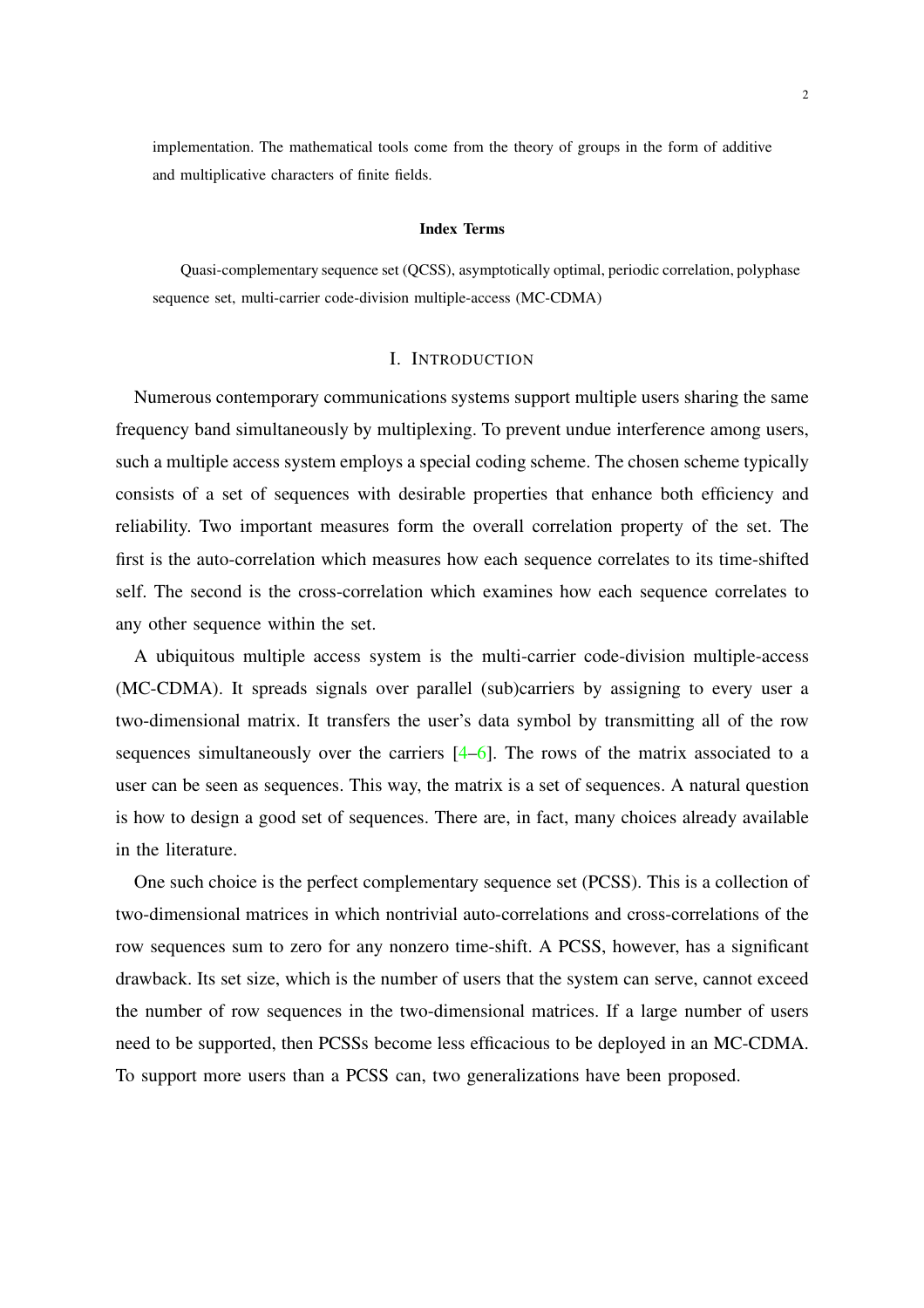implementation. The mathematical tools come from the theory of groups in the form of additive and multiplicative characters of finite fields.

#### Index Terms

Quasi-complementary sequence set (QCSS), asymptotically optimal, periodic correlation, polyphase sequence set, multi-carrier code-division multiple-access (MC-CDMA)

## I. INTRODUCTION

Numerous contemporary communications systems support multiple users sharing the same frequency band simultaneously by multiplexing. To prevent undue interference among users, such a multiple access system employs a special coding scheme. The chosen scheme typically consists of a set of sequences with desirable properties that enhance both efficiency and reliability. Two important measures form the overall correlation property of the set. The first is the auto-correlation which measures how each sequence correlates to its time-shifted self. The second is the cross-correlation which examines how each sequence correlates to any other sequence within the set.

A ubiquitous multiple access system is the multi-carrier code-division multiple-access (MC-CDMA). It spreads signals over parallel (sub)carriers by assigning to every user a two-dimensional matrix. It transfers the user's data symbol by transmitting all of the row sequences simultaneously over the carriers  $[4-6]$ . The rows of the matrix associated to a user can be seen as sequences. This way, the matrix is a set of sequences. A natural question is how to design a good set of sequences. There are, in fact, many choices already available in the literature.

One such choice is the perfect complementary sequence set (PCSS). This is a collection of two-dimensional matrices in which nontrivial auto-correlations and cross-correlations of the row sequences sum to zero for any nonzero time-shift. A PCSS, however, has a significant drawback. Its set size, which is the number of users that the system can serve, cannot exceed the number of row sequences in the two-dimensional matrices. If a large number of users need to be supported, then PCSSs become less efficacious to be deployed in an MC-CDMA. To support more users than a PCSS can, two generalizations have been proposed.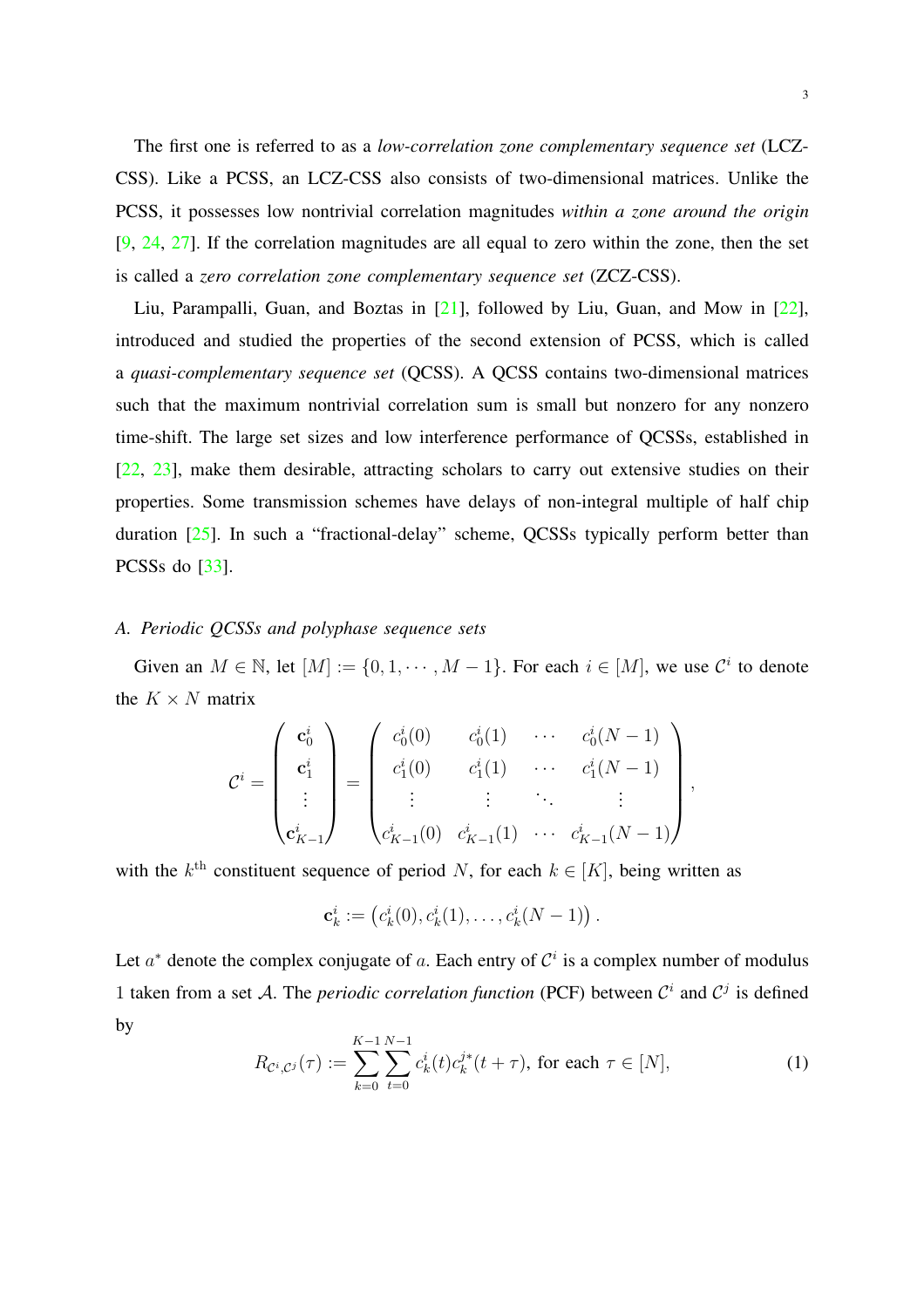The first one is referred to as a *low-correlation zone complementary sequence set* (LCZ-CSS). Like a PCSS, an LCZ-CSS also consists of two-dimensional matrices. Unlike the PCSS, it possesses low nontrivial correlation magnitudes *within a zone around the origin* [\[9](#page-21-0), [24](#page-22-0), [27](#page-22-1)]. If the correlation magnitudes are all equal to zero within the zone, then the set is called a *zero correlation zone complementary sequence set* (ZCZ-CSS).

Liu, Parampalli, Guan, and Boztas in [\[21\]](#page-22-2), followed by Liu, Guan, and Mow in [\[22\]](#page-22-3), introduced and studied the properties of the second extension of PCSS, which is called a *quasi-complementary sequence set* (QCSS). A QCSS contains two-dimensional matrices such that the maximum nontrivial correlation sum is small but nonzero for any nonzero time-shift. The large set sizes and low interference performance of QCSSs, established in [\[22](#page-22-3), [23\]](#page-22-4), make them desirable, attracting scholars to carry out extensive studies on their properties. Some transmission schemes have delays of non-integral multiple of half chip duration [\[25\]](#page-22-5). In such a "fractional-delay" scheme, QCSSs typically perform better than PCSSs do [\[33](#page-23-0)].

#### *A. Periodic QCSSs and polyphase sequence sets*

Given an  $M \in \mathbb{N}$ , let  $[M] := \{0, 1, \dots, M - 1\}$ . For each  $i \in [M]$ , we use  $\mathcal{C}^i$  to denote the  $K \times N$  matrix

$$
\mathcal{C}^{i} = \begin{pmatrix} \mathbf{c}_{0}^{i} \\ \mathbf{c}_{1}^{i} \\ \vdots \\ \mathbf{c}_{K-1}^{i} \end{pmatrix} = \begin{pmatrix} c_{0}^{i}(0) & c_{0}^{i}(1) & \cdots & c_{0}^{i}(N-1) \\ c_{1}^{i}(0) & c_{1}^{i}(1) & \cdots & c_{1}^{i}(N-1) \\ \vdots & \vdots & \ddots & \vdots \\ c_{K-1}^{i}(0) & c_{K-1}^{i}(1) & \cdots & c_{K-1}^{i}(N-1) \end{pmatrix},
$$

with the  $k^{\text{th}}$  constituent sequence of period N, for each  $k \in [K]$ , being written as

$$
\mathbf{c}_k^i := (c_k^i(0), c_k^i(1), \dots, c_k^i(N-1))
$$

Let  $a^*$  denote the complex conjugate of a. Each entry of  $\mathcal{C}^i$  is a complex number of modulus 1 taken from a set A. The *periodic correlation function* (PCF) between  $\mathcal{C}^i$  and  $\mathcal{C}^j$  is defined by

$$
R_{\mathcal{C}^i,\mathcal{C}^j}(\tau) := \sum_{k=0}^{K-1} \sum_{t=0}^{N-1} c_k^i(t) c_k^{j*}(t+\tau), \text{ for each } \tau \in [N], \tag{1}
$$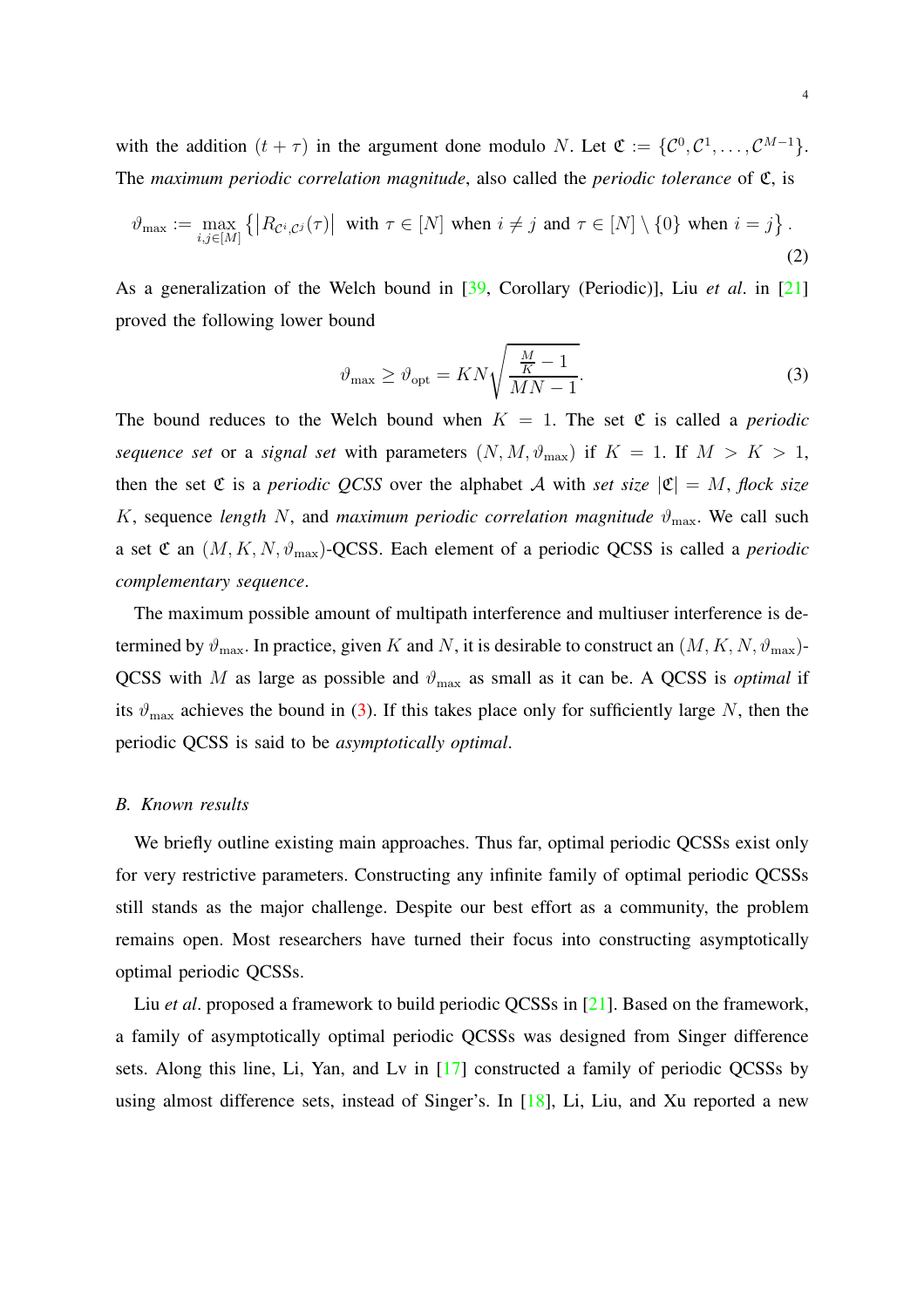with the addition  $(t + \tau)$  in the argument done modulo N. Let  $\mathfrak{C} := \{ \mathcal{C}^0, \mathcal{C}^1, \dots, \mathcal{C}^{M-1} \}.$ The *maximum periodic correlation magnitude*, also called the *periodic tolerance* of C, is

$$
\vartheta_{\max} := \max_{i,j \in [M]} \left\{ \left| R_{\mathcal{C}^i,\mathcal{C}^j}(\tau) \right| \text{ with } \tau \in [N] \text{ when } i \neq j \text{ and } \tau \in [N] \setminus \{0\} \text{ when } i = j \right\}. \tag{2}
$$

As a generalization of the Welch bound in [\[39](#page-23-1), Corollary (Periodic)], Liu *et al*. in [\[21\]](#page-22-2) proved the following lower bound

<span id="page-3-0"></span>
$$
\vartheta_{\text{max}} \ge \vartheta_{\text{opt}} = KN\sqrt{\frac{\frac{M}{K} - 1}{MN - 1}}.
$$
\n(3)

The bound reduces to the Welch bound when  $K = 1$ . The set  $\mathfrak C$  is called a *periodic sequence set* or a *signal set* with parameters  $(N, M, \vartheta_{\text{max}})$  if  $K = 1$ . If  $M > K > 1$ , then the set  $\mathfrak C$  is a *periodic QCSS* over the alphabet A with *set size*  $|\mathfrak C| = M$ , *flock size* K, sequence *length* N, and *maximum periodic correlation magnitude*  $\vartheta_{\text{max}}$ . We call such a set  $\mathfrak C$  an  $(M, K, N, \vartheta_{\max})$ -QCSS. Each element of a periodic QCSS is called a *periodic complementary sequence*.

The maximum possible amount of multipath interference and multiuser interference is determined by  $\vartheta_{\text{max}}$ . In practice, given K and N, it is desirable to construct an  $(M, K, N, \vartheta_{\text{max}})$ -QCSS with M as large as possible and  $\vartheta_{\text{max}}$  as small as it can be. A QCSS is *optimal* if its  $\vartheta_{\text{max}}$  achieves the bound in [\(3\)](#page-3-0). If this takes place only for sufficiently large N, then the periodic QCSS is said to be *asymptotically optimal*.

#### *B. Known results*

We briefly outline existing main approaches. Thus far, optimal periodic QCSSs exist only for very restrictive parameters. Constructing any infinite family of optimal periodic QCSSs still stands as the major challenge. Despite our best effort as a community, the problem remains open. Most researchers have turned their focus into constructing asymptotically optimal periodic QCSSs.

Liu *et al*. proposed a framework to build periodic QCSSs in [\[21\]](#page-22-2). Based on the framework, a family of asymptotically optimal periodic QCSSs was designed from Singer difference sets. Along this line, Li, Yan, and Lv in [\[17\]](#page-21-1) constructed a family of periodic QCSSs by using almost difference sets, instead of Singer's. In [\[18](#page-21-2)], Li, Liu, and Xu reported a new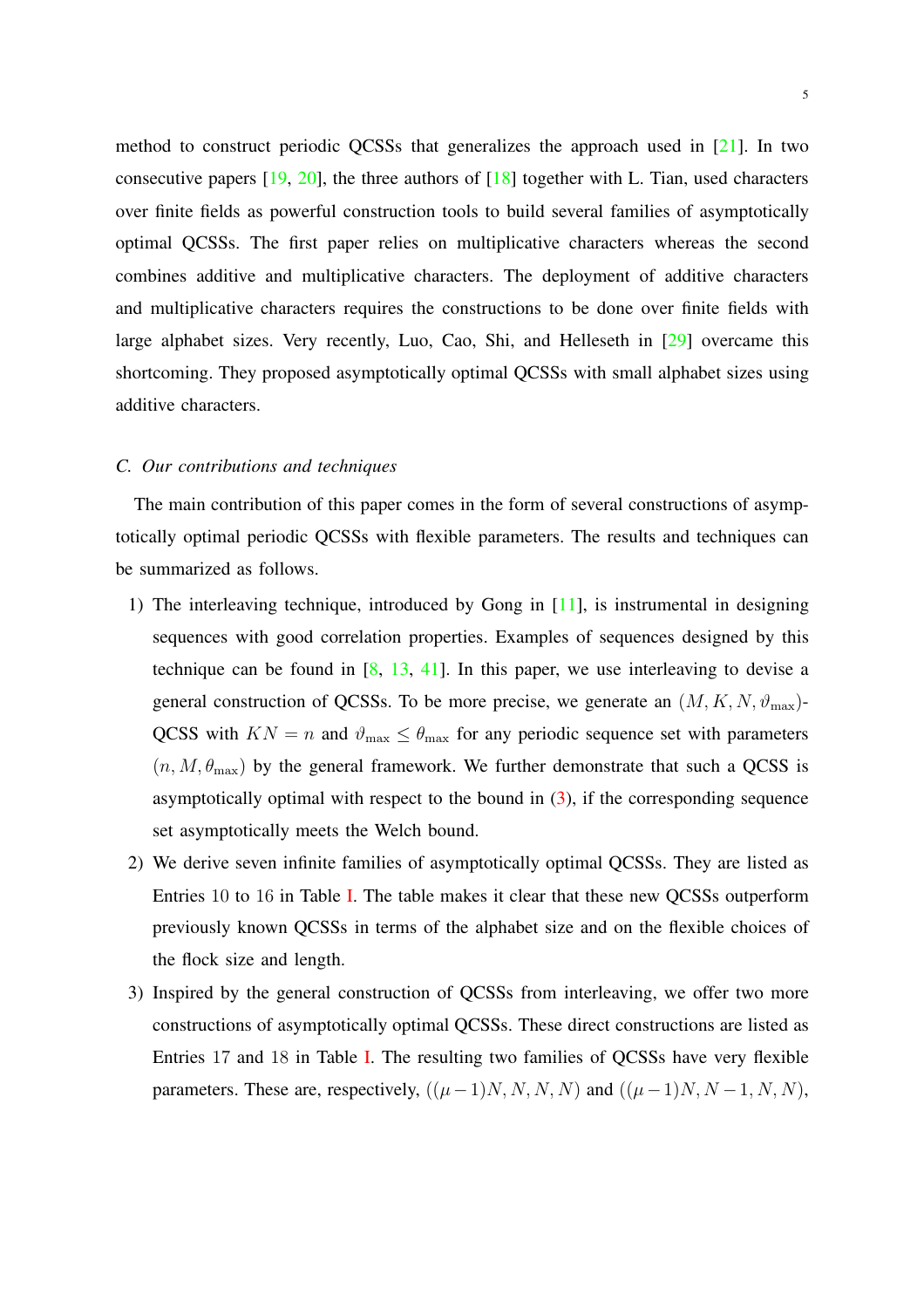method to construct periodic QCSSs that generalizes the approach used in [\[21](#page-22-2)]. In two consecutive papers  $[19, 20]$  $[19, 20]$ , the three authors of  $[18]$  together with L. Tian, used characters over finite fields as powerful construction tools to build several families of asymptotically optimal QCSSs. The first paper relies on multiplicative characters whereas the second combines additive and multiplicative characters. The deployment of additive characters and multiplicative characters requires the constructions to be done over finite fields with large alphabet sizes. Very recently, Luo, Cao, Shi, and Helleseth in [\[29](#page-22-6)] overcame this shortcoming. They proposed asymptotically optimal QCSSs with small alphabet sizes using additive characters.

## *C. Our contributions and techniques*

The main contribution of this paper comes in the form of several constructions of asymptotically optimal periodic QCSSs with flexible parameters. The results and techniques can be summarized as follows.

- 1) The interleaving technique, introduced by Gong in [\[11](#page-21-5)], is instrumental in designing sequences with good correlation properties. Examples of sequences designed by this technique can be found in  $[8, 13, 41]$  $[8, 13, 41]$  $[8, 13, 41]$  $[8, 13, 41]$  $[8, 13, 41]$  $[8, 13, 41]$ . In this paper, we use interleaving to devise a general construction of QCSSs. To be more precise, we generate an  $(M, K, N, \vartheta_{\text{max}})$ -QCSS with  $KN = n$  and  $\vartheta_{\text{max}} \leq \theta_{\text{max}}$  for any periodic sequence set with parameters  $(n, M, \theta_{\text{max}})$  by the general framework. We further demonstrate that such a QCSS is asymptotically optimal with respect to the bound in  $(3)$ , if the corresponding sequence set asymptotically meets the Welch bound.
- 2) We derive seven infinite families of asymptotically optimal QCSSs. They are listed as Entries 10 to 16 in Table [I.](#page-6-0) The table makes it clear that these new QCSSs outperform previously known QCSSs in terms of the alphabet size and on the flexible choices of the flock size and length.
- 3) Inspired by the general construction of QCSSs from interleaving, we offer two more constructions of asymptotically optimal QCSSs. These direct constructions are listed as Entries 17 and 18 in Table [I.](#page-6-0) The resulting two families of QCSSs have very flexible parameters. These are, respectively,  $((\mu-1)N, N, N, N)$  and  $((\mu-1)N, N-1, N, N)$ ,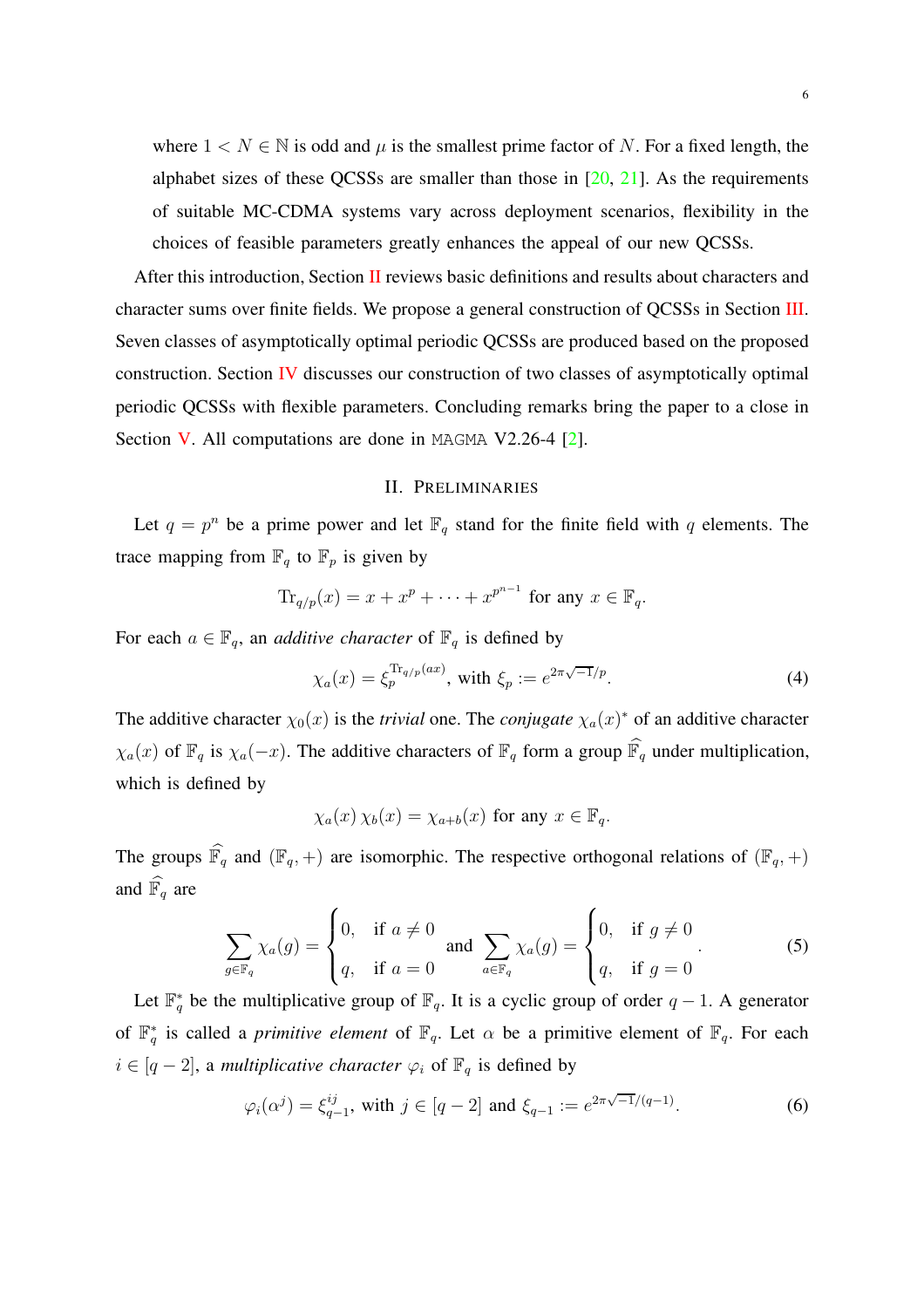where  $1 \lt N \in \mathbb{N}$  is odd and  $\mu$  is the smallest prime factor of N. For a fixed length, the alphabet sizes of these QCSSs are smaller than those in  $[20, 21]$  $[20, 21]$  $[20, 21]$  $[20, 21]$ . As the requirements of suitable MC-CDMA systems vary across deployment scenarios, flexibility in the choices of feasible parameters greatly enhances the appeal of our new QCSSs.

After this introduction, Section  $\Pi$  reviews basic definitions and results about characters and character sums over finite fields. We propose a general construction of QCSSs in Section [III.](#page-7-0) Seven classes of asymptotically optimal periodic QCSSs are produced based on the proposed construction. Section [IV](#page-14-0) discusses our construction of two classes of asymptotically optimal periodic QCSSs with flexible parameters. Concluding remarks bring the paper to a close in Section [V.](#page-19-0) All computations are done in MAGMA V2.26-4 [\[2\]](#page-20-3).

#### II. PRELIMINARIES

<span id="page-5-0"></span>Let  $q = p^n$  be a prime power and let  $\mathbb{F}_q$  stand for the finite field with q elements. The trace mapping from  $\mathbb{F}_q$  to  $\mathbb{F}_p$  is given by

$$
\mathrm{Tr}_{q/p}(x) = x + x^p + \cdots + x^{p^{n-1}} \text{ for any } x \in \mathbb{F}_q.
$$

For each  $a \in \mathbb{F}_q$ , an *additive character* of  $\mathbb{F}_q$  is defined by

$$
\chi_a(x) = \xi_p^{\text{Tr}_{q/p}(ax)}, \text{ with } \xi_p := e^{2\pi\sqrt{-1}/p}.
$$
\n(4)

The additive character  $\chi_0(x)$  is the *trivial* one. The *conjugate*  $\chi_a(x)^*$  of an additive character  $\chi_a(x)$  of  $\mathbb{F}_q$  is  $\chi_a(-x)$ . The additive characters of  $\mathbb{F}_q$  form a group  $\widehat{\mathbb{F}_q}$  under multiplication, which is defined by

$$
\chi_a(x)\,\chi_b(x)=\chi_{a+b}(x)\,\,\text{for any}\,\,x\in\mathbb{F}_q.
$$

The groups  $\widehat{\mathbb{F}_q}$  and  $(\mathbb{F}_q, +)$  are isomorphic. The respective orthogonal relations of  $(\mathbb{F}_q, +)$ and  $\widehat{\mathbb{F}_q}$  are

<span id="page-5-2"></span>
$$
\sum_{g \in \mathbb{F}_q} \chi_a(g) = \begin{cases} 0, & \text{if } a \neq 0 \\ q, & \text{if } a = 0 \end{cases} \text{ and } \sum_{a \in \mathbb{F}_q} \chi_a(g) = \begin{cases} 0, & \text{if } g \neq 0 \\ q, & \text{if } g = 0 \end{cases} \tag{5}
$$

Let  $\mathbb{F}_q^*$  be the multiplicative group of  $\mathbb{F}_q$ . It is a cyclic group of order  $q-1$ . A generator of  $\mathbb{F}_q^*$  is called a *primitive element* of  $\mathbb{F}_q$ . Let  $\alpha$  be a primitive element of  $\mathbb{F}_q$ . For each  $i \in [q-2]$ , a *multiplicative character*  $\varphi_i$  of  $\mathbb{F}_q$  is defined by

<span id="page-5-1"></span>
$$
\varphi_i(\alpha^j) = \xi_{q-1}^{ij}
$$
, with  $j \in [q-2]$  and  $\xi_{q-1} := e^{2\pi\sqrt{-1}/(q-1)}$ . (6)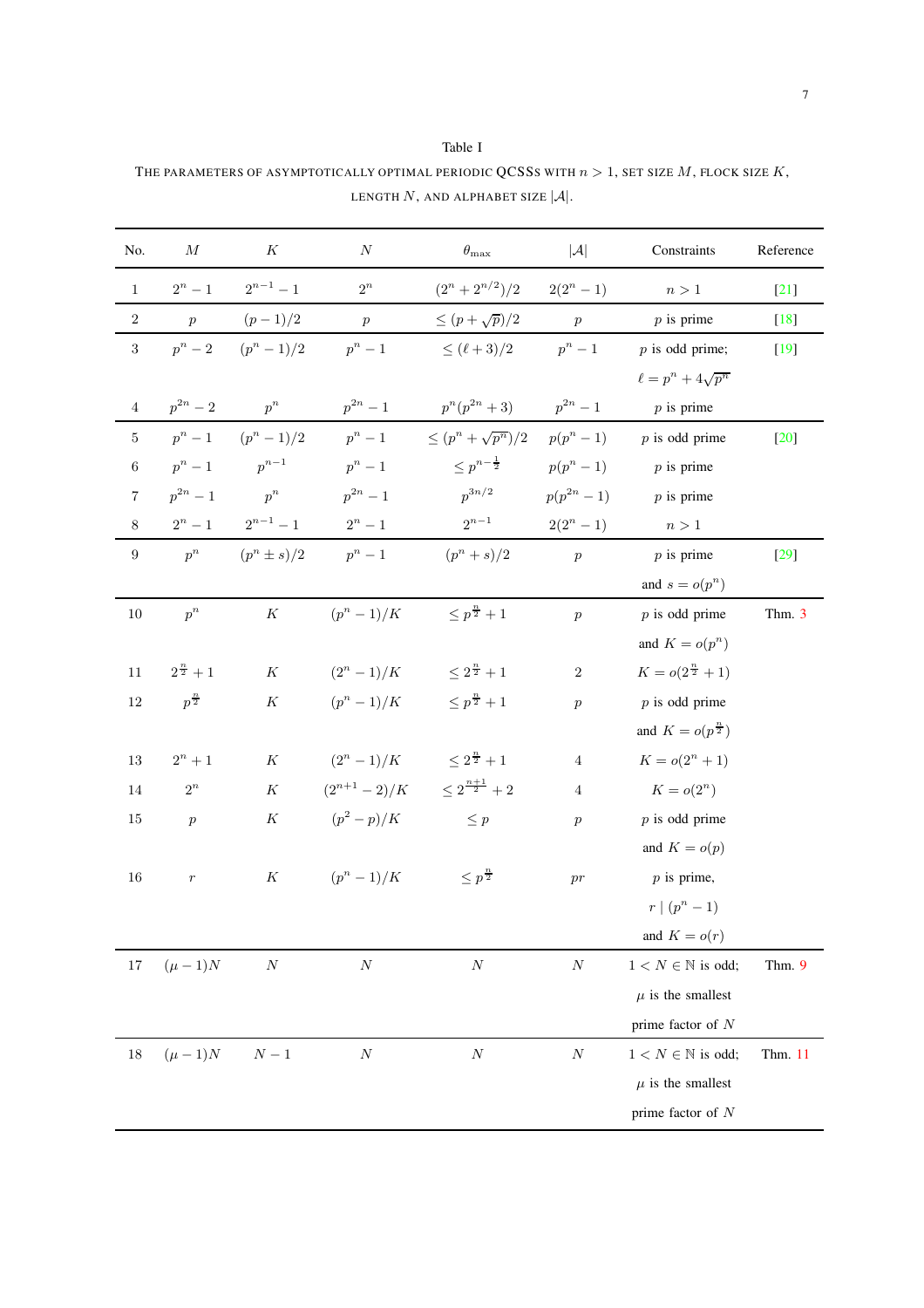<span id="page-6-0"></span>THE PARAMETERS OF ASYMPTOTICALLY OPTIMAL PERIODIC QCSSS WITH  $n>1,$  SET SIZE  $M,$  FLOCK SIZE  $K,$ LENGTH  $N$ , AND ALPHABET SIZE  $|\mathcal{A}|$ .

Table I

| No.              | $\cal M$            | K               | N                | $\theta_{\rm max}$                             | $ \mathcal{A} $<br>Constraints |                                | Reference |
|------------------|---------------------|-----------------|------------------|------------------------------------------------|--------------------------------|--------------------------------|-----------|
| $\mathbf{1}$     | $2^n - 1$           | $2^{n-1} - 1$   | $2^n$            | $(2^n + 2^{n/2})/2$ $2(2^n - 1)$               |                                | n>1                            | $[21]$    |
| $\,2$            | $\boldsymbol{p}$    | $(p-1)/2$       | $\,p\,$          | $\leq (p+\sqrt{p})/2$                          | $\,p\,$                        | $p$ is prime                   | $[18]$    |
| 3                | $p^n-2$             | $(p^{n} - 1)/2$ | $p^n-1$          | $\leq (\ell+3)/2$                              | $p^n-1$                        | $p$ is odd prime;              | $[19]$    |
|                  |                     |                 |                  |                                                |                                | $\ell = p^n + 4\sqrt{p^n}$     |           |
| $\,4$            | $p^{2n} - 2$        | $p^n$           | $p^{2n}-1$       | $p^{n}(p^{2n}+3)$                              | $p^{2n} - 1$                   | $p$ is prime                   |           |
| $\bf 5$          | $p^n-1$             | $(p^{n} - 1)/2$ | $p^n-1$          | $\leq (p^{n} + \sqrt{p^{n}})/2$ $p(p^{n} - 1)$ |                                | $p$ is odd prime               | $[20]$    |
| $\overline{6}$   | $p^n-1$             | $p^{n-1}$       | $p^n-1$          | $\leq p^{n-\frac{1}{2}}$ $p(p^n-1)$            |                                | $p$ is prime                   |           |
| $\overline{7}$   | $p^{2n} - 1$        | $p^n$           | $p^{2n}-1$       | $p^{3n/2}$                                     | $p(p^{2n}-1)$                  | $p$ is prime                   |           |
| $8\,$            | $2^n-1$             | $2^{n-1}-1$     | $2^n - 1$        | $2^{n-1}$                                      | $2(2^n - 1)$                   | n>1                            |           |
| $\boldsymbol{9}$ | $p^n$               | $(p^n \pm s)/2$ | $p^n-1$          | $(p^{n}+s)/2$                                  | $\boldsymbol{p}$               | $p$ is prime                   | $[29]$    |
|                  |                     |                 |                  |                                                |                                | and $s = o(p^n)$               |           |
| $10\,$           | $p^n$               | $\cal K$        | $(p^{n} - 1)/K$  | $\leq p^{\frac{n}{2}}+1$                       | $\overline{p}$                 | $p$ is odd prime               | Thm. 3    |
|                  |                     |                 |                  |                                                |                                | and $K = o(p^n)$               |           |
| 11               | $2^{\frac{n}{2}}+1$ | $\cal K$        |                  | $(2^n - 1)/K$ $\leq 2^{\frac{n}{2}} + 1$       | $\sqrt{2}$                     | $K = o(2^{\frac{n}{2}} + 1)$   |           |
| 12               | $p^{\frac{n}{2}}$   | ${\cal K}$      |                  | $(p^{n}-1)/K$ $\leq p^{\frac{n}{2}}+1$         | $\boldsymbol{p}$               | $p$ is odd prime               |           |
|                  |                     |                 |                  |                                                |                                | and $K = o(p^{\frac{n}{2}})$   |           |
| 13               | $2^n+1$             | K               |                  | $(2^n - 1)/K$ $\leq 2^{\frac{n}{2}} + 1$       | $\overline{4}$                 | $K = o(2^n + 1)$               |           |
| 14               | $2^n$               | $\cal K$        |                  | $(2^{n+1}-2)/K$ $\leq 2^{\frac{n+1}{2}}+2$     | $\overline{4}$                 | $K = o(2^n)$                   |           |
| 15               | $\boldsymbol{p}$    | ${\cal K}$      | $(p^2 - p)/K$    | $\leq p$                                       | $\boldsymbol{p}$               | $p$ is odd prime               |           |
|                  |                     |                 |                  |                                                |                                | and $K = o(p)$                 |           |
| 16               | $\,r\,$             | $\cal K$        | $(p^{n} - 1)/K$  | $\leq p^{\frac{n}{2}}$                         | pr                             | $p$ is prime,                  |           |
|                  |                     |                 |                  |                                                |                                | $r \mid (p^n-1)$               |           |
|                  |                     |                 |                  |                                                |                                | and $K = o(r)$                 |           |
| $17\,$           | $(\mu - 1)N$        | $\cal N$        | $\boldsymbol{N}$ | $\cal N$                                       | $\boldsymbol{N}$               | $1 < N \in \mathbb{N}$ is odd; | Thm. 9    |
|                  |                     |                 |                  |                                                |                                | $\mu$ is the smallest          |           |
|                  |                     |                 |                  |                                                |                                | prime factor of $N$            |           |
| $18\,$           | $(\mu - 1)N$        | ${\cal N}-1$    | $\cal N$         | $\cal N$                                       | $\cal N$                       | $1 < N \in \mathbb{N}$ is odd; | Thm. 11   |
|                  |                     |                 |                  |                                                |                                | $\mu$ is the smallest          |           |
|                  |                     |                 |                  |                                                |                                | prime factor of $N$            |           |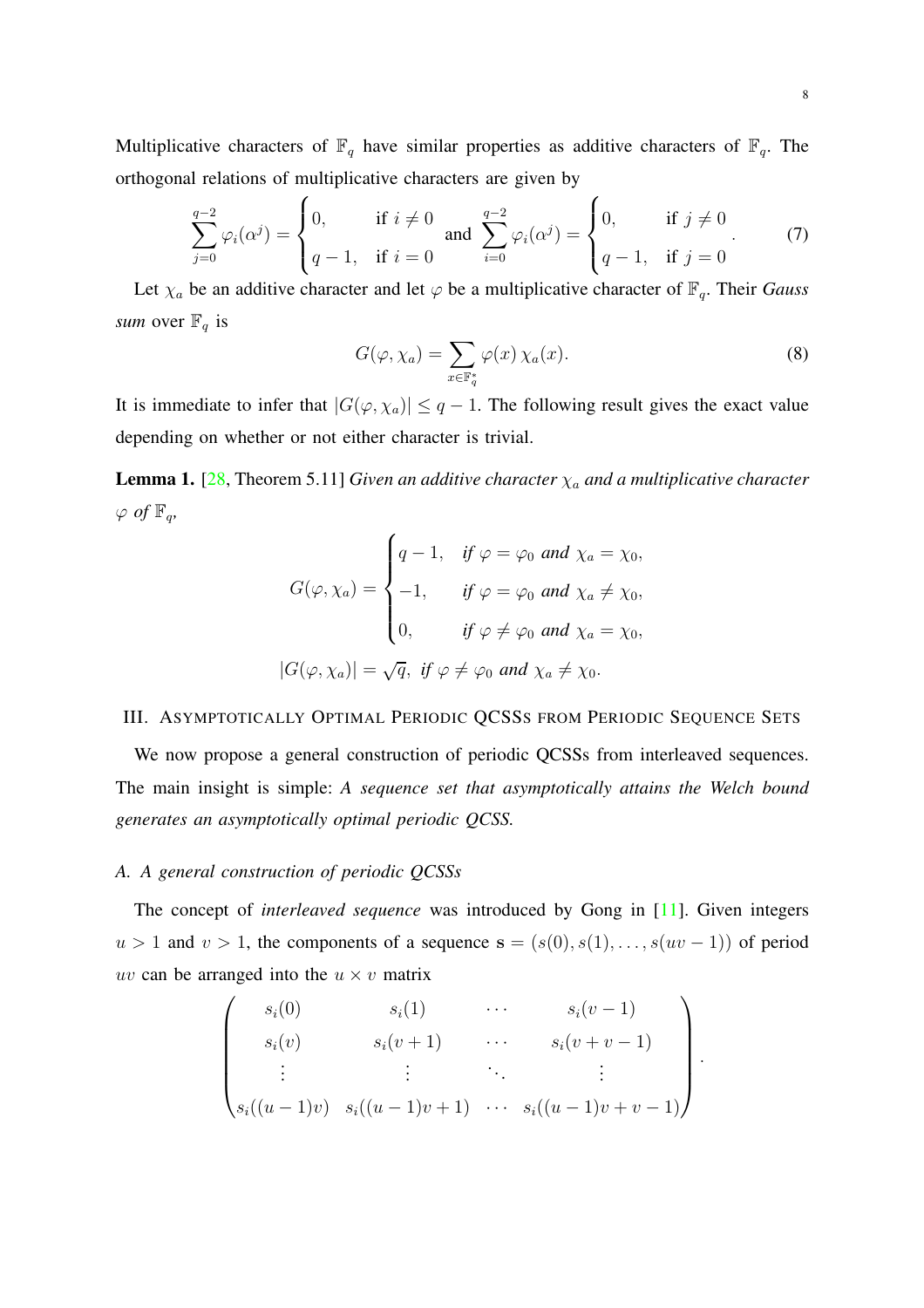Multiplicative characters of  $\mathbb{F}_q$  have similar properties as additive characters of  $\mathbb{F}_q$ . The orthogonal relations of multiplicative characters are given by

<span id="page-7-1"></span>
$$
\sum_{j=0}^{q-2} \varphi_i(\alpha^j) = \begin{cases} 0, & \text{if } i \neq 0 \\ q-1, & \text{if } i = 0 \end{cases} \text{ and } \sum_{i=0}^{q-2} \varphi_i(\alpha^j) = \begin{cases} 0, & \text{if } j \neq 0 \\ q-1, & \text{if } j = 0 \end{cases} \tag{7}
$$

Let  $\chi_a$  be an additive character and let  $\varphi$  be a multiplicative character of  $\mathbb{F}_q$ . Their *Gauss sum* over  $\mathbb{F}_q$  is

$$
G(\varphi, \chi_a) = \sum_{x \in \mathbb{F}_q^*} \varphi(x) \, \chi_a(x). \tag{8}
$$

It is immediate to infer that  $|G(\varphi, \chi_a)| \leq q - 1$ . The following result gives the exact value depending on whether or not either character is trivial.

<span id="page-7-2"></span>**Lemma 1.** [\[28](#page-22-7), Theorem 5.11] *Given an additive character*  $\chi_a$  *and a multiplicative character*  $\varphi$  *of*  $\mathbb{F}_q$ *,* 

$$
G(\varphi, \chi_a) = \begin{cases} q - 1, & \text{if } \varphi = \varphi_0 \text{ and } \chi_a = \chi_0, \\ -1, & \text{if } \varphi = \varphi_0 \text{ and } \chi_a \neq \chi_0, \\ 0, & \text{if } \varphi \neq \varphi_0 \text{ and } \chi_a = \chi_0, \end{cases}
$$

$$
|G(\varphi, \chi_a)| = \sqrt{q}, \text{ if } \varphi \neq \varphi_0 \text{ and } \chi_a \neq \chi_0.
$$

### <span id="page-7-0"></span>III. ASYMPTOTICALLY OPTIMAL PERIODIC QCSSS FROM PERIODIC SEQUENCE SETS

We now propose a general construction of periodic QCSSs from interleaved sequences. The main insight is simple: *A sequence set that asymptotically attains the Welch bound generates an asymptotically optimal periodic QCSS.*

#### *A. A general construction of periodic QCSSs*

The concept of *interleaved sequence* was introduced by Gong in [\[11\]](#page-21-5). Given integers  $u > 1$  and  $v > 1$ , the components of a sequence  $s = (s(0), s(1), \ldots, s(uv-1))$  of period uv can be arranged into the  $u \times v$  matrix

$$
\begin{pmatrix}\ns_i(0) & s_i(1) & \cdots & s_i(v-1) \\
s_i(v) & s_i(v+1) & \cdots & s_i(v+v-1) \\
\vdots & \vdots & \ddots & \vdots \\
s_i((u-1)v) & s_i((u-1)v+1) & \cdots & s_i((u-1)v+v-1)\n\end{pmatrix}.
$$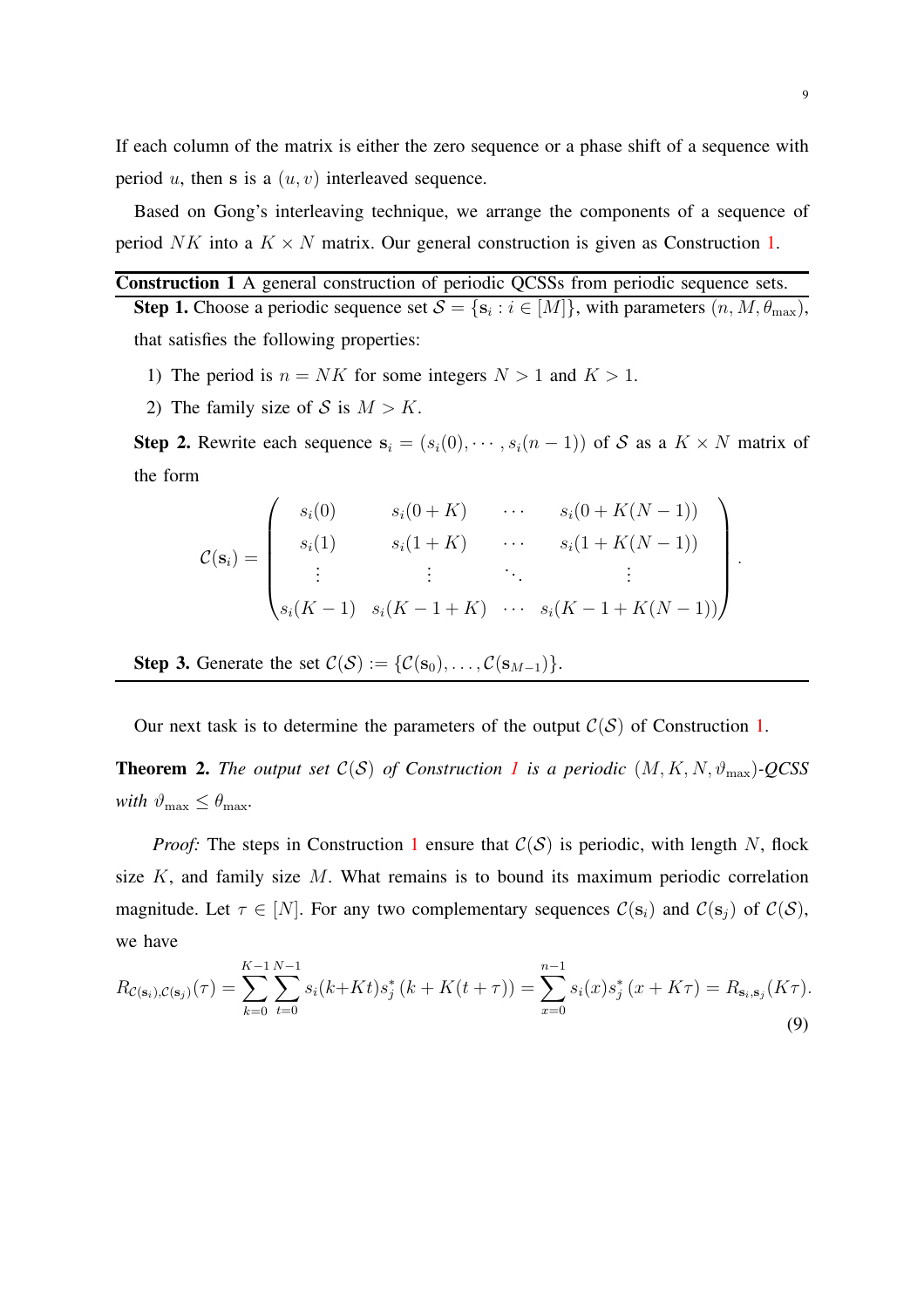If each column of the matrix is either the zero sequence or a phase shift of a sequence with period u, then s is a  $(u, v)$  interleaved sequence.

Based on Gong's interleaving technique, we arrange the components of a sequence of period NK into a  $K \times N$  matrix. Our general construction is given as Construction [1.](#page-8-0)

# <span id="page-8-0"></span>Construction 1 A general construction of periodic QCSSs from periodic sequence sets.

**Step 1.** Choose a periodic sequence set  $S = \{s_i : i \in [M]\}$ , with parameters  $(n, M, \theta_{\text{max}})$ , that satisfies the following properties:

- 1) The period is  $n = NK$  for some integers  $N > 1$  and  $K > 1$ .
- 2) The family size of S is  $M > K$ .

**Step 2.** Rewrite each sequence  $s_i = (s_i(0), \dots, s_i(n-1))$  of S as a  $K \times N$  matrix of the form

$$
\mathcal{C}(\mathbf{s}_i) = \begin{pmatrix} s_i(0) & s_i(0+K) & \cdots & s_i(0+K(N-1)) \\ s_i(1) & s_i(1+K) & \cdots & s_i(1+K(N-1)) \\ \vdots & \vdots & \ddots & \vdots \\ s_i(K-1) & s_i(K-1+K) & \cdots & s_i(K-1+K(N-1)) \end{pmatrix}
$$

Step 3. Generate the set  $C(S) := \{C(s_0), \ldots, C(s_{M-1})\}.$ 

Our next task is to determine the parameters of the output  $C(S)$  of Construction [1.](#page-8-0)

<span id="page-8-1"></span>**Theorem 2.** The output set  $C(S)$  of Construction [1](#page-8-0) is a periodic  $(M, K, N, \vartheta_{\text{max}})$ *-QCSS with*  $\vartheta_{\text{max}} \leq \theta_{\text{max}}$ *.* 

*Proof:* The steps in Construction [1](#page-8-0) ensure that  $C(S)$  is periodic, with length N, flock size  $K$ , and family size  $M$ . What remains is to bound its maximum periodic correlation magnitude. Let  $\tau \in [N]$ . For any two complementary sequences  $\mathcal{C}(\mathbf{s}_i)$  and  $\mathcal{C}(\mathbf{s}_j)$  of  $\mathcal{C}(\mathcal{S})$ , we have

$$
R_{\mathcal{C}(\mathbf{s}_i),\mathcal{C}(\mathbf{s}_j)}(\tau) = \sum_{k=0}^{K-1} \sum_{t=0}^{N-1} s_i(k+Kt)s_j^*(k+K(t+\tau)) = \sum_{x=0}^{n-1} s_i(x)s_j^*(x+K\tau) = R_{\mathbf{s}_i,\mathbf{s}_j}(K\tau).
$$
\n(9)

.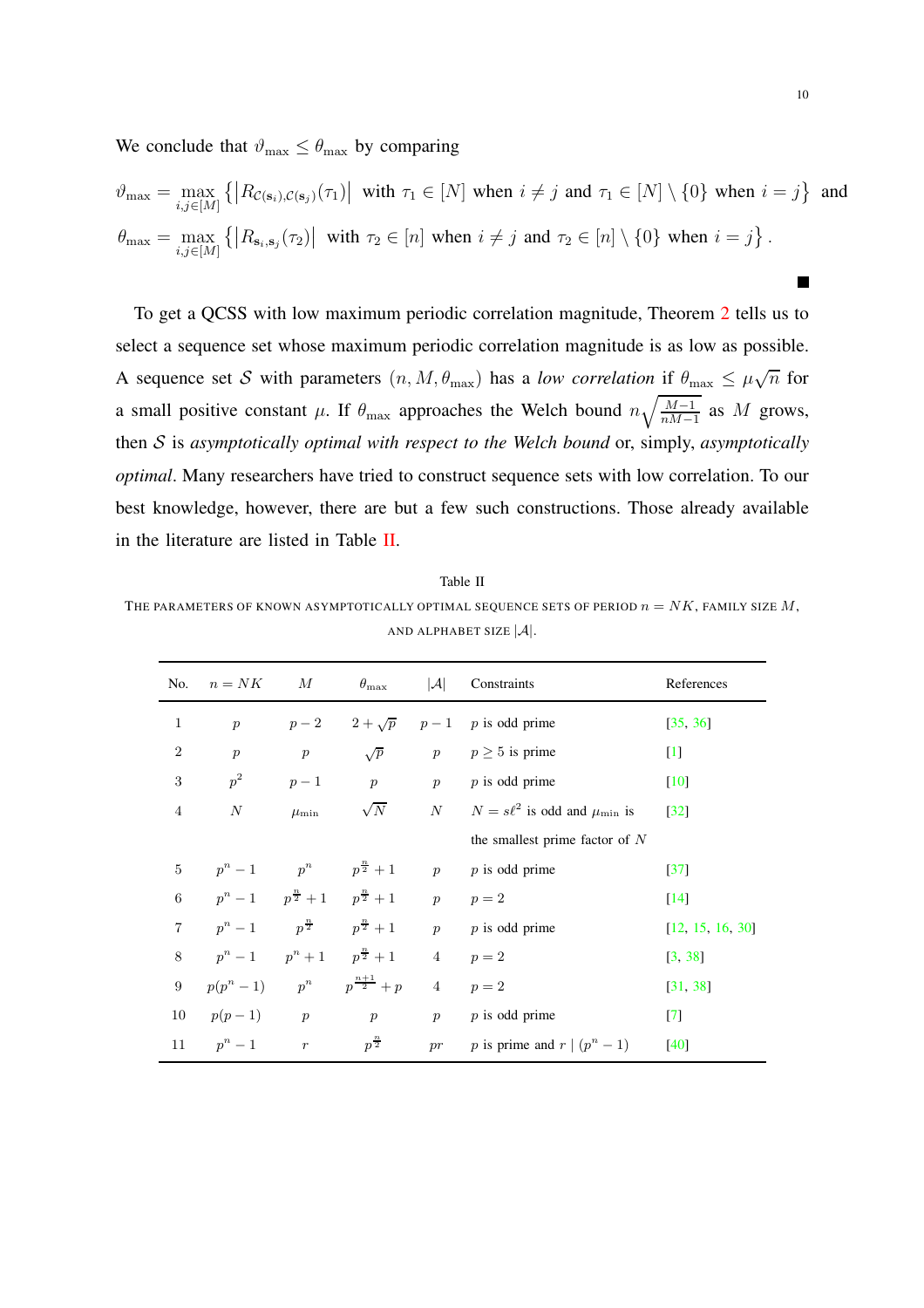We conclude that  $\vartheta_{\text{max}} \leq \theta_{\text{max}}$  by comparing

$$
\vartheta_{\max} = \max_{i,j \in [M]} \left\{ \left| R_{\mathcal{C}(\mathbf{s}_i),\mathcal{C}(\mathbf{s}_j)}(\tau_1) \right| \text{ with } \tau_1 \in [N] \text{ when } i \neq j \text{ and } \tau_1 \in [N] \setminus \{0\} \text{ when } i = j \right\} \text{ and}
$$

$$
\theta_{\max} = \max_{i,j \in [M]} \left\{ \left| R_{\mathbf{s}_i,\mathbf{s}_j}(\tau_2) \right| \text{ with } \tau_2 \in [n] \text{ when } i \neq j \text{ and } \tau_2 \in [n] \setminus \{0\} \text{ when } i = j \right\}.
$$

To get a QCSS with low maximum periodic correlation magnitude, Theorem [2](#page-8-1) tells us to select a sequence set whose maximum periodic correlation magnitude is as low as possible. A sequence set S with parameters  $(n, M, \theta_{\text{max}})$  has a *low correlation* if  $\theta_{\text{max}} \leq \mu \sqrt{n}$  for a small positive constant  $\mu$ . If  $\theta_{\text{max}}$  approaches the Welch bound  $n\sqrt{\frac{M-1}{nM-1}}$  $\frac{M-1}{nM-1}$  as M grows, then S is *asymptotically optimal with respect to the Welch bound* or, simply, *asymptotically optimal*. Many researchers have tried to construct sequence sets with low correlation. To our best knowledge, however, there are but a few such constructions. Those already available in the literature are listed in Table [II.](#page-9-0)

<span id="page-9-0"></span>Table II THE PARAMETERS OF KNOWN ASYMPTOTICALLY OPTIMAL SEQUENCE SETS OF PERIOD  $n = N K$ , FAMILY SIZE M, AND ALPHABET SIZE  $|\mathcal{A}|$ .

| No.                     | $n = NK$                                  | M                | $\theta_{\rm max}$                                                  |    | $ \mathcal{A} $ Constraints                | References         |
|-------------------------|-------------------------------------------|------------------|---------------------------------------------------------------------|----|--------------------------------------------|--------------------|
| $\,1$                   | $\boldsymbol{p}$                          |                  |                                                                     |    | $p-2$ $2+\sqrt{p}$ $p-1$ p is odd prime    | [35, 36]           |
| $\overline{2}$          | $\boldsymbol{p}$                          | $\boldsymbol{p}$ | $\sqrt{p}$                                                          |    | $p \qquad p \ge 5$ is prime                | $[1]$              |
| $\sqrt{3}$              | $p^2$                                     | $p-1$            | $p$ $p$                                                             |    | $p$ is odd prime                           | $[10]$             |
| $\overline{4}$          | $\cal N$                                  | $\mu_{\rm min}$  | $\sqrt{N}$                                                          |    | N $N = s\ell^2$ is odd and $\mu_{\min}$ is | $[32]$             |
|                         |                                           |                  |                                                                     |    | the smallest prime factor of $N$           |                    |
| $\mathbf 5$             | $p^{n} - 1$ $p^{n}$ $p^{\frac{n}{2}} + 1$ |                  |                                                                     | p  | $p$ is odd prime                           | $[37]$             |
| $\,6$                   |                                           |                  | $p^{n} - 1$ $p^{\frac{n}{2}} + 1$ $p^{\frac{n}{2}} + 1$ $p$ $p = 2$ |    |                                            | $\lceil 14 \rceil$ |
| $\overline{\mathbf{7}}$ |                                           |                  | $p^{n} - 1$ $p^{\frac{n}{2}}$ $p^{\frac{n}{2}} + 1$ $p$             |    | $p$ is odd prime                           | [12, 15, 16, 30]   |
| $8\,$                   |                                           |                  | $p^{n} - 1$ $p^{n} + 1$ $p^{\frac{n}{2}} + 1$ $4$ $p = 2$           |    |                                            | [3, 38]            |
| $\boldsymbol{9}$        |                                           |                  | $p(p^n-1)$ $p^n$ $p^{\frac{n+1}{2}} + p$                            |    | 4 $p=2$                                    | [31, 38]           |
| 10                      | $p(p-1)$ p                                |                  | p                                                                   | p  | $p$ is odd prime                           | $[7]$              |
| 11                      | $p^n-1$ r                                 |                  | $p^{\frac{n}{2}}$                                                   | pr | p is prime and $r (p^n-1)$                 | $[40]$             |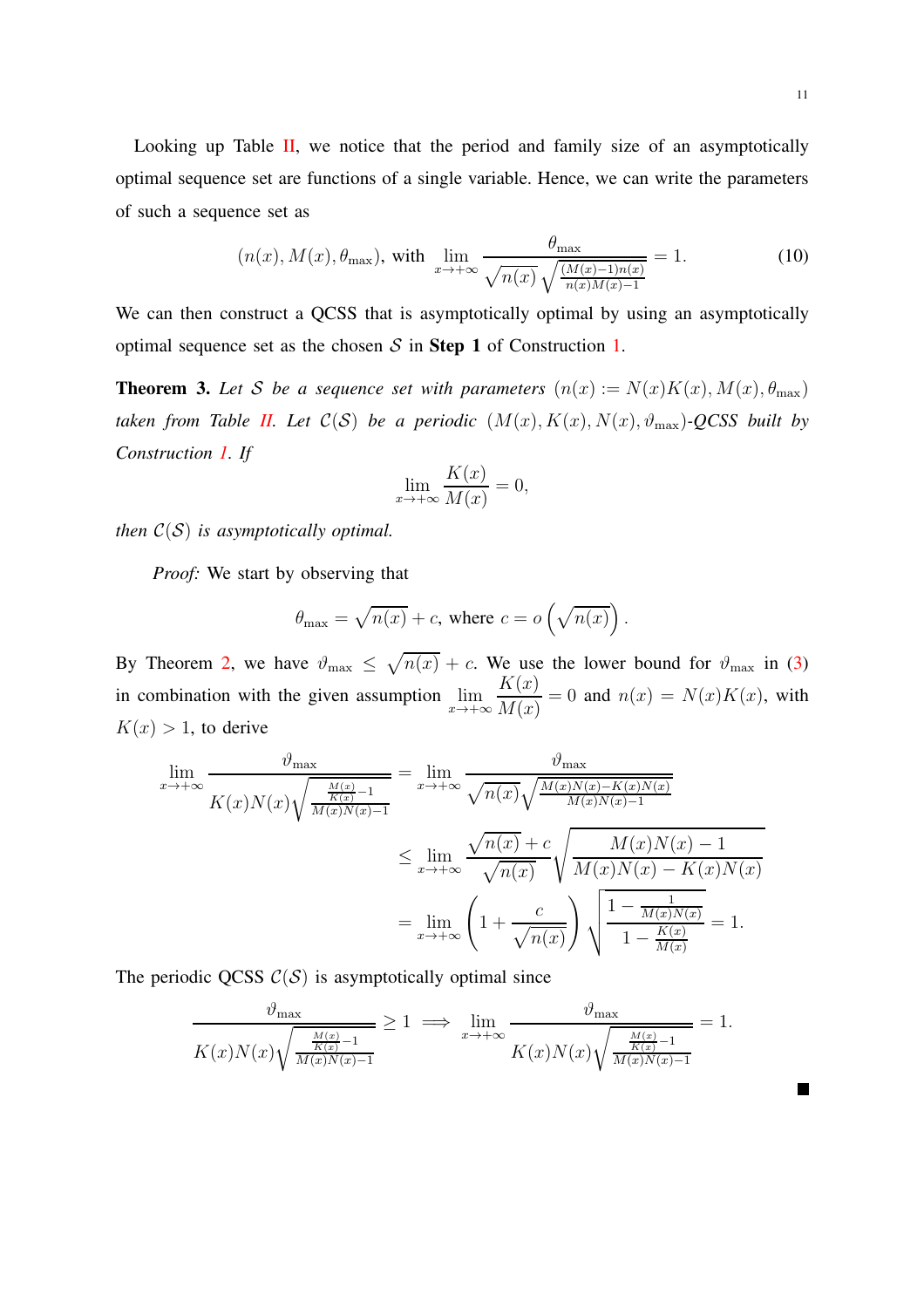Looking up Table [II,](#page-9-0) we notice that the period and family size of an asymptotically optimal sequence set are functions of a single variable. Hence, we can write the parameters of such a sequence set as

$$
(n(x), M(x), \theta_{\max}), \text{ with } \lim_{x \to +\infty} \frac{\theta_{\max}}{\sqrt{n(x)}\sqrt{\frac{(M(x)-1)n(x)}{n(x)M(x)-1}}} = 1. \tag{10}
$$

We can then construct a QCSS that is asymptotically optimal by using an asymptotically optimal sequence set as the chosen  $S$  in Step 1 of Construction [1.](#page-8-0)

<span id="page-10-0"></span>**Theorem 3.** Let S be a sequence set with parameters  $(n(x) := N(x)K(x), M(x), \theta_{\text{max}})$ *taken from Table [II.](#page-9-0) Let*  $C(S)$  *be a periodic*  $(M(x), K(x), N(x), \vartheta_{\max})$ -QCSS built by *Construction [1.](#page-8-0) If*

$$
\lim_{x \to +\infty} \frac{K(x)}{M(x)} = 0,
$$

*then*  $C(S)$  *is asymptotically optimal.* 

*Proof:* We start by observing that

$$
\theta_{\text{max}} = \sqrt{n(x)} + c
$$
, where  $c = o\left(\sqrt{n(x)}\right)$ .

By Theorem [2,](#page-8-1) we have  $\vartheta_{\text{max}} \leq \sqrt{n(x)} + c$ . We use the lower bound for  $\vartheta_{\text{max}}$  in [\(3\)](#page-3-0) in combination with the given assumption  $\lim_{x \to +\infty}$  $K(x)$  $M(x)$  $= 0$  and  $n(x) = N(x)K(x)$ , with  $K(x) > 1$ , to derive

$$
\lim_{x \to +\infty} \frac{\vartheta_{\max}}{K(x)N(x)\sqrt{\frac{\frac{M(x)}{K(x)}-1}{M(x)N(x)-1}}} = \lim_{x \to +\infty} \frac{\vartheta_{\max}}{\sqrt{n(x)}\sqrt{\frac{M(x)N(x)-K(x)N(x)}{M(x)N(x)-1}}}
$$
\n
$$
\leq \lim_{x \to +\infty} \frac{\sqrt{n(x)} + c}{\sqrt{n(x)}} \sqrt{\frac{M(x)N(x)-1}{M(x)N(x)-K(x)N(x)}}
$$
\n
$$
= \lim_{x \to +\infty} \left(1 + \frac{c}{\sqrt{n(x)}}\right) \sqrt{\frac{1 - \frac{1}{M(x)N(x)}}{1 - \frac{K(x)}{M(x)}}} = 1.
$$

The periodic QCSS  $C(S)$  is asymptotically optimal since

$$
\frac{\vartheta_{\max}}{K(x)N(x)\sqrt{\frac{\frac{M(x)}{K(x)}-1}{M(x)N(x)-1}}} \ge 1 \implies \lim_{x \to +\infty} \frac{\vartheta_{\max}}{K(x)N(x)\sqrt{\frac{\frac{M(x)}{K(x)}-1}{M(x)N(x)-1}}} = 1.
$$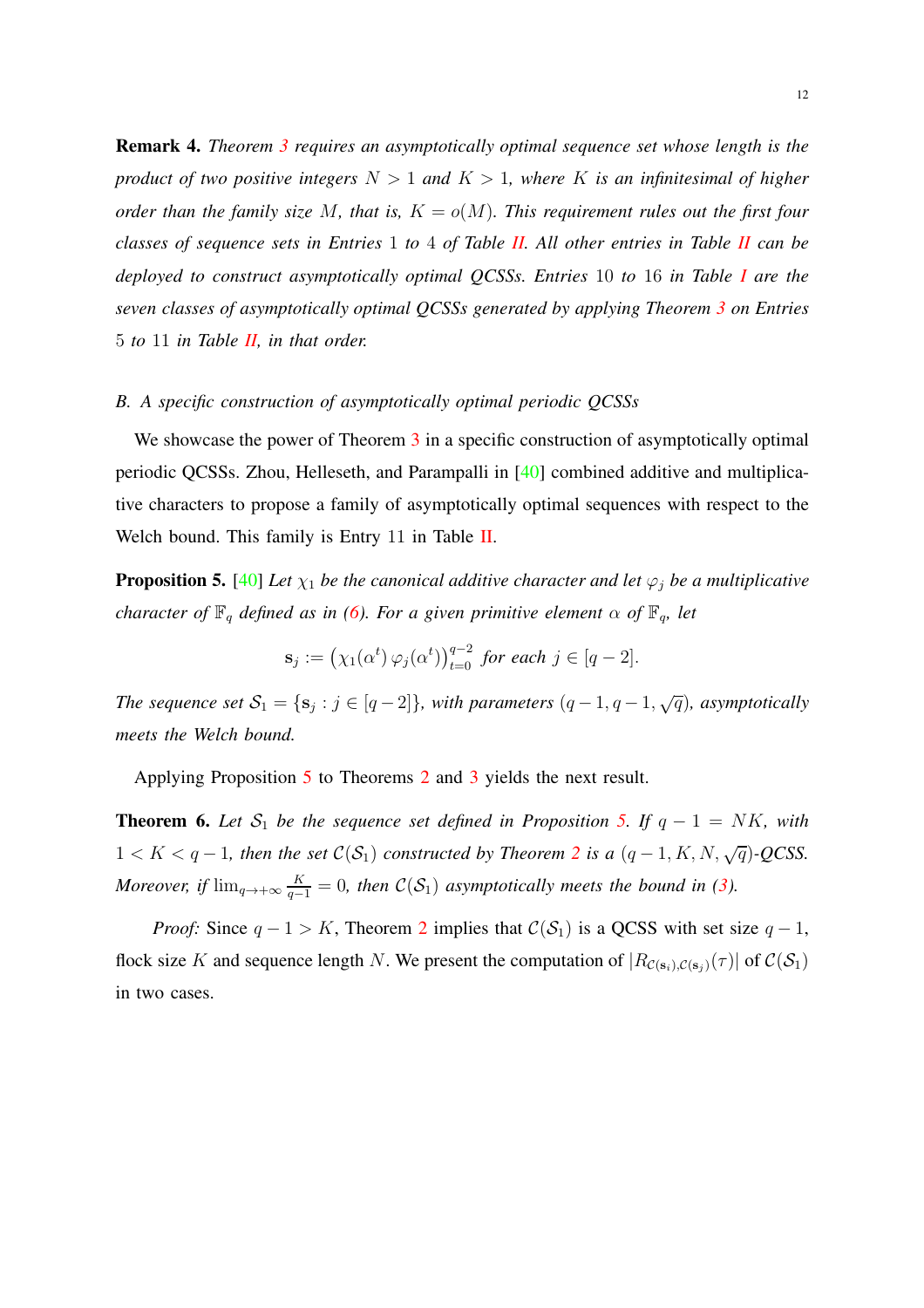<span id="page-11-2"></span>Remark 4. *Theorem [3](#page-10-0) requires an asymptotically optimal sequence set whose length is the product of two positive integers* N > 1 *and* K > 1*, where* K *is an infinitesimal of higher order than the family size* M, that is,  $K = o(M)$ . This requirement rules out the first four *classes of sequence sets in Entries* 1 *to* 4 *of Table [II.](#page-9-0) All other entries in Table [II](#page-9-0) can be deployed to construct asymptotically optimal QCSSs. Entries* 10 *to* 16 *in Table [I](#page-6-0) are the seven classes of asymptotically optimal QCSSs generated by applying Theorem [3](#page-10-0) on Entries* 5 *to* 11 *in Table [II,](#page-9-0) in that order.*

## *B. A specific construction of asymptotically optimal periodic QCSSs*

We showcase the power of Theorem [3](#page-10-0) in a specific construction of asymptotically optimal periodic QCSSs. Zhou, Helleseth, and Parampalli in [\[40](#page-23-8)] combined additive and multiplicative characters to propose a family of asymptotically optimal sequences with respect to the Welch bound. This family is Entry 11 in Table [II.](#page-9-0)

<span id="page-11-0"></span>**Proposition 5.** [\[40\]](#page-23-8) Let  $\chi_1$  be the canonical additive character and let  $\varphi_j$  be a multiplicative *character of*  $\mathbb{F}_q$  *defined as in* [\(6\)](#page-5-1)*. For a given primitive element*  $\alpha$  *of*  $\mathbb{F}_q$ *, let* 

$$
\mathbf{s}_j := \left(\chi_1(\alpha^t) \,\varphi_j(\alpha^t)\right)_{t=0}^{q-2} \text{ for each } j \in [q-2].
$$

*The sequence set*  $S_1 = \{s_j : j \in [q-2]\}$ , with parameters  $(q-1, q-1, \sqrt{q})$ , asymptotically *meets the Welch bound.*

Applying Proposition [5](#page-11-0) to Theorems [2](#page-8-1) and [3](#page-10-0) yields the next result.

<span id="page-11-1"></span>**Theorem 6.** Let  $S_1$  be the sequence set defined in Proposition [5.](#page-11-0) If  $q - 1 = NK$ , with  $1 < K < q-1$ , then the set  $C(S_1)$  constructed by Theorem [2](#page-8-1) is a  $(q-1, K, N, \sqrt{q})$ -QCSS. *Moreover, if*  $\lim_{q \to +\infty} \frac{K}{q-1} = 0$ *, then*  $C(S_1)$  *asymptotically meets the bound in [\(3\)](#page-3-0).* 

*Proof:* Since  $q - 1 > K$ , Theorem [2](#page-8-1) implies that  $C(S_1)$  is a QCSS with set size  $q - 1$ , flock size K and sequence length N. We present the computation of  $|R_{\mathcal{C}(s_i),\mathcal{C}(s_j)}(\tau)|$  of  $\mathcal{C}(\mathcal{S}_1)$ in two cases.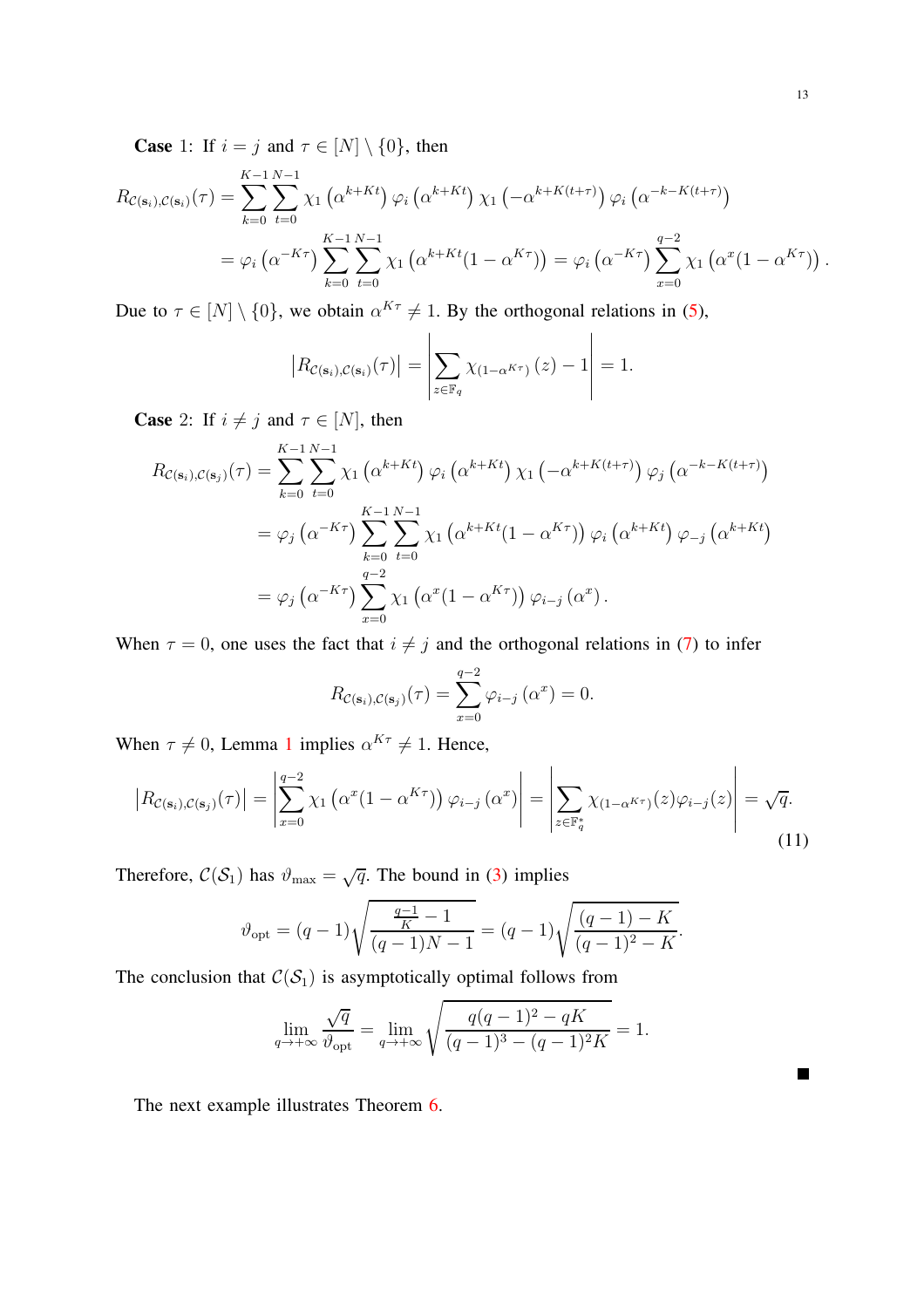**Case** 1: If  $i = j$  and  $\tau \in [N] \setminus \{0\}$ , then

$$
R_{\mathcal{C}(\mathbf{s}_i),\mathcal{C}(\mathbf{s}_i)}(\tau) = \sum_{k=0}^{K-1} \sum_{t=0}^{N-1} \chi_1\left(\alpha^{k+Kt}\right) \varphi_i\left(\alpha^{k+Kt}\right) \chi_1\left(-\alpha^{k+K(t+\tau)}\right) \varphi_i\left(\alpha^{-k-K(t+\tau)}\right)
$$
  
= 
$$
\varphi_i\left(\alpha^{-K\tau}\right) \sum_{k=0}^{K-1} \sum_{t=0}^{N-1} \chi_1\left(\alpha^{k+Kt}(1-\alpha^{K\tau})\right) = \varphi_i\left(\alpha^{-K\tau}\right) \sum_{x=0}^{q-2} \chi_1\left(\alpha^x(1-\alpha^{K\tau})\right).
$$

Due to  $\tau \in [N] \setminus \{0\}$ , we obtain  $\alpha^{K\tau} \neq 1$ . By the orthogonal relations in [\(5\)](#page-5-2),

$$
\left| R_{\mathcal{C}(\mathbf{s}_i), \mathcal{C}(\mathbf{s}_i)}(\tau) \right| = \left| \sum_{z \in \mathbb{F}_q} \chi_{(1-\alpha^{K\tau})}(z) - 1 \right| = 1.
$$

**Case** 2: If  $i \neq j$  and  $\tau \in [N]$ , then

$$
R_{\mathcal{C}(\mathbf{s}_i),\mathcal{C}(\mathbf{s}_j)}(\tau) = \sum_{k=0}^{K-1} \sum_{t=0}^{N-1} \chi_1\left(\alpha^{k+Kt}\right) \varphi_i\left(\alpha^{k+Kt}\right) \chi_1\left(-\alpha^{k+K(t+\tau)}\right) \varphi_j\left(\alpha^{-k-K(t+\tau)}\right)
$$
  

$$
= \varphi_j\left(\alpha^{-K\tau}\right) \sum_{k=0}^{K-1} \sum_{t=0}^{N-1} \chi_1\left(\alpha^{k+Kt}(1-\alpha^{K\tau})\right) \varphi_i\left(\alpha^{k+Kt}\right) \varphi_{-j}\left(\alpha^{k+Kt}\right)
$$
  

$$
= \varphi_j\left(\alpha^{-K\tau}\right) \sum_{x=0}^{q-2} \chi_1\left(\alpha^x(1-\alpha^{K\tau})\right) \varphi_{i-j}\left(\alpha^x\right).
$$

When  $\tau = 0$ , one uses the fact that  $i \neq j$  and the orthogonal relations in [\(7\)](#page-7-1) to infer

$$
R_{\mathcal{C}(\mathbf{s}_i),\mathcal{C}(\mathbf{s}_j)}(\tau) = \sum_{x=0}^{q-2} \varphi_{i-j}(\alpha^x) = 0.
$$

When  $\tau \neq 0$ , Lemma [1](#page-7-2) implies  $\alpha^{K\tau} \neq 1$ . Hence,

$$
\left| R_{\mathcal{C}(\mathbf{s}_i), \mathcal{C}(\mathbf{s}_j)}(\tau) \right| = \left| \sum_{x=0}^{q-2} \chi_1 \left( \alpha^x (1 - \alpha^{K\tau}) \right) \varphi_{i-j} \left( \alpha^x \right) \right| = \left| \sum_{z \in \mathbb{F}_q^*} \chi_{(1 - \alpha^{K\tau})}(z) \varphi_{i-j}(z) \right| = \sqrt{q}.
$$
\n(11)

Therefore,  $C(S_1)$  has  $\vartheta_{\text{max}} = \sqrt{q}$ . The bound in [\(3\)](#page-3-0) implies

$$
\vartheta_{\rm opt} = (q-1)\sqrt{\frac{\frac{q-1}{K}-1}{(q-1)N-1}} = (q-1)\sqrt{\frac{(q-1)-K}{(q-1)^2-K}}.
$$

The conclusion that  $C(S_1)$  is asymptotically optimal follows from

$$
\lim_{q \to +\infty} \frac{\sqrt{q}}{\vartheta_{\text{opt}}} = \lim_{q \to +\infty} \sqrt{\frac{q(q-1)^2 - qK}{(q-1)^3 - (q-1)^2 K}} = 1.
$$

The next example illustrates Theorem [6.](#page-11-1)

 $\Box$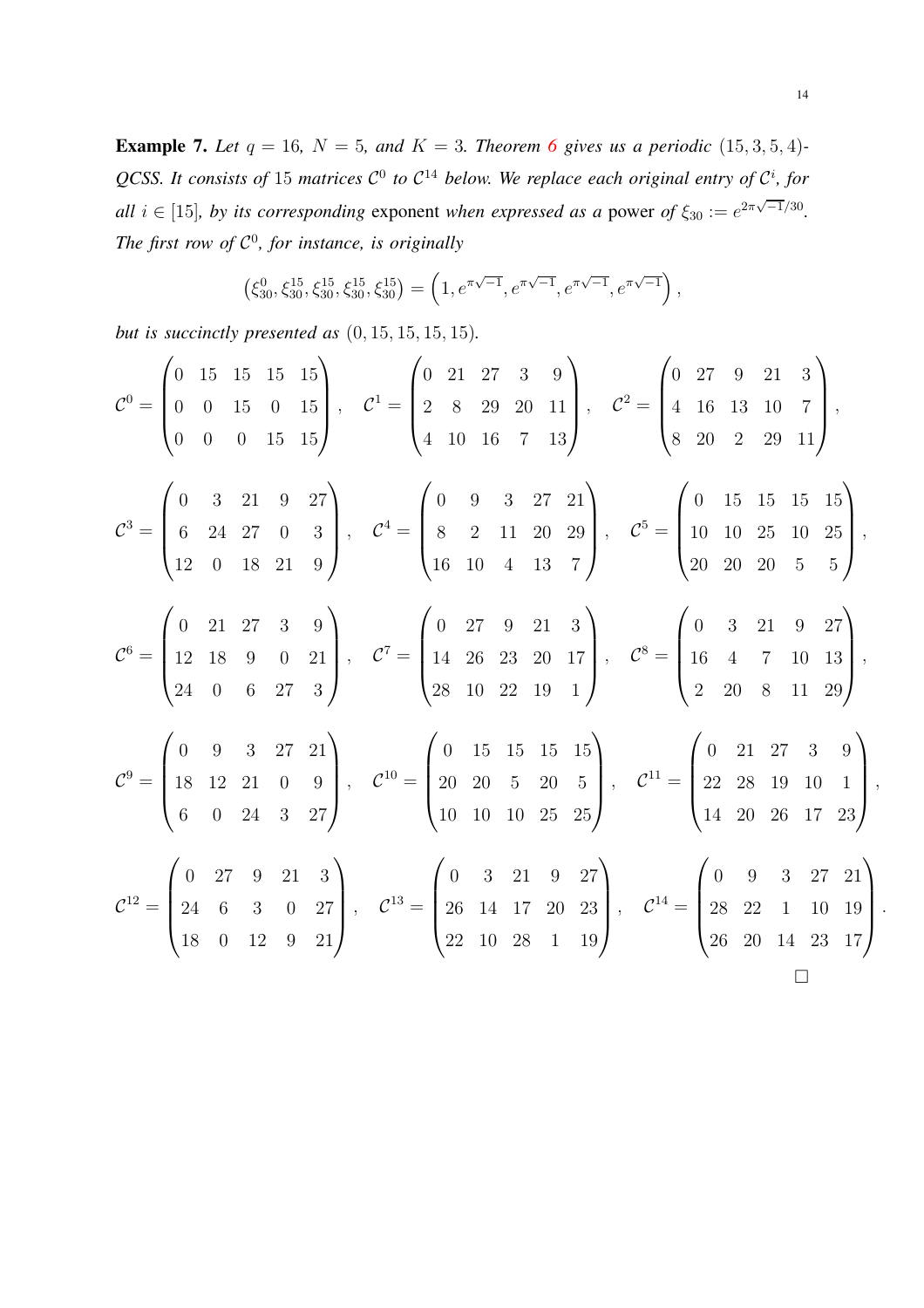**Example 7.** Let  $q = 16$  $q = 16$ ,  $N = 5$ , and  $K = 3$ . Theorem 6 gives us a periodic (15, 3, 5, 4)-QCSS. It consists of 15 matrices  $C^0$  to  $C^{14}$  below. We replace each original entry of  $C^i$ , for *all*  $i \in [15]$ *, by its corresponding* exponent *when expressed as a* power *of*  $\xi_{30} := e^{2\pi\sqrt{-1}/30}$ *. The first row of* C 0 *, for instance, is originally*

$$
(\xi_{30}^0, \xi_{30}^{15}, \xi_{30}^{15}, \xi_{30}^{15}, \xi_{30}^{15}) = \left(1, e^{\pi\sqrt{-1}}, e^{\pi\sqrt{-1}}, e^{\pi\sqrt{-1}}, e^{\pi\sqrt{-1}}\right),
$$

*but is succinctly presented as* (0, 15, 15, 15, 15)*.*

$$
\mathcal{C}^{0} = \begin{pmatrix} 0 & 15 & 15 & 15 & 15 \\ 0 & 0 & 15 & 0 & 15 \\ 0 & 0 & 0 & 15 & 15 \end{pmatrix}, \quad\n\mathcal{C}^{1} = \begin{pmatrix} 0 & 21 & 27 & 3 & 9 \\ 2 & 8 & 29 & 20 & 11 \\ 4 & 10 & 16 & 7 & 13 \end{pmatrix}, \quad\n\mathcal{C}^{2} = \begin{pmatrix} 0 & 27 & 9 & 21 & 3 \\ 4 & 16 & 13 & 10 & 7 \\ 8 & 20 & 2 & 29 & 11 \end{pmatrix},
$$
\n
$$
\mathcal{C}^{3} = \begin{pmatrix} 0 & 3 & 21 & 9 & 27 \\ 6 & 24 & 27 & 0 & 3 \\ 12 & 0 & 18 & 21 & 9 \end{pmatrix}, \quad\n\mathcal{C}^{4} = \begin{pmatrix} 0 & 9 & 3 & 27 & 21 \\ 8 & 2 & 11 & 20 & 29 \\ 16 & 10 & 4 & 13 & 7 \end{pmatrix}, \quad\n\mathcal{C}^{5} = \begin{pmatrix} 0 & 15 & 15 & 15 \\ 10 & 10 & 25 & 10 & 25 \\ 20 & 20 & 20 & 5 & 5 \end{pmatrix},
$$
\n
$$
\mathcal{C}^{6} = \begin{pmatrix} 0 & 21 & 27 & 3 & 9 \\ 12 & 18 & 9 & 0 & 21 \\ 24 & 0 & 6 & 27 & 3 \end{pmatrix}, \quad\n\mathcal{C}^{7} = \begin{pmatrix} 0 & 27 & 9 & 21 & 3 \\ 14 & 26 & 23 & 20 & 17 \\ 28 & 10 & 22 & 19 & 1 \end{pmatrix}, \quad\n\mathcal{C}^{8} = \begin{pmatrix} 0 & 3 & 21 & 9 & 27 \\ 16 & 4 & 7 & 10 & 13 \\ 2 & 20 & 8 & 11 & 29 \end{pmatrix},
$$
\n
$$
\mathcal{C}^{9} = \begin{pmatrix} 0 & 9 & 3 & 27 & 21 \\ 18 & 12 & 21 & 0 &
$$

.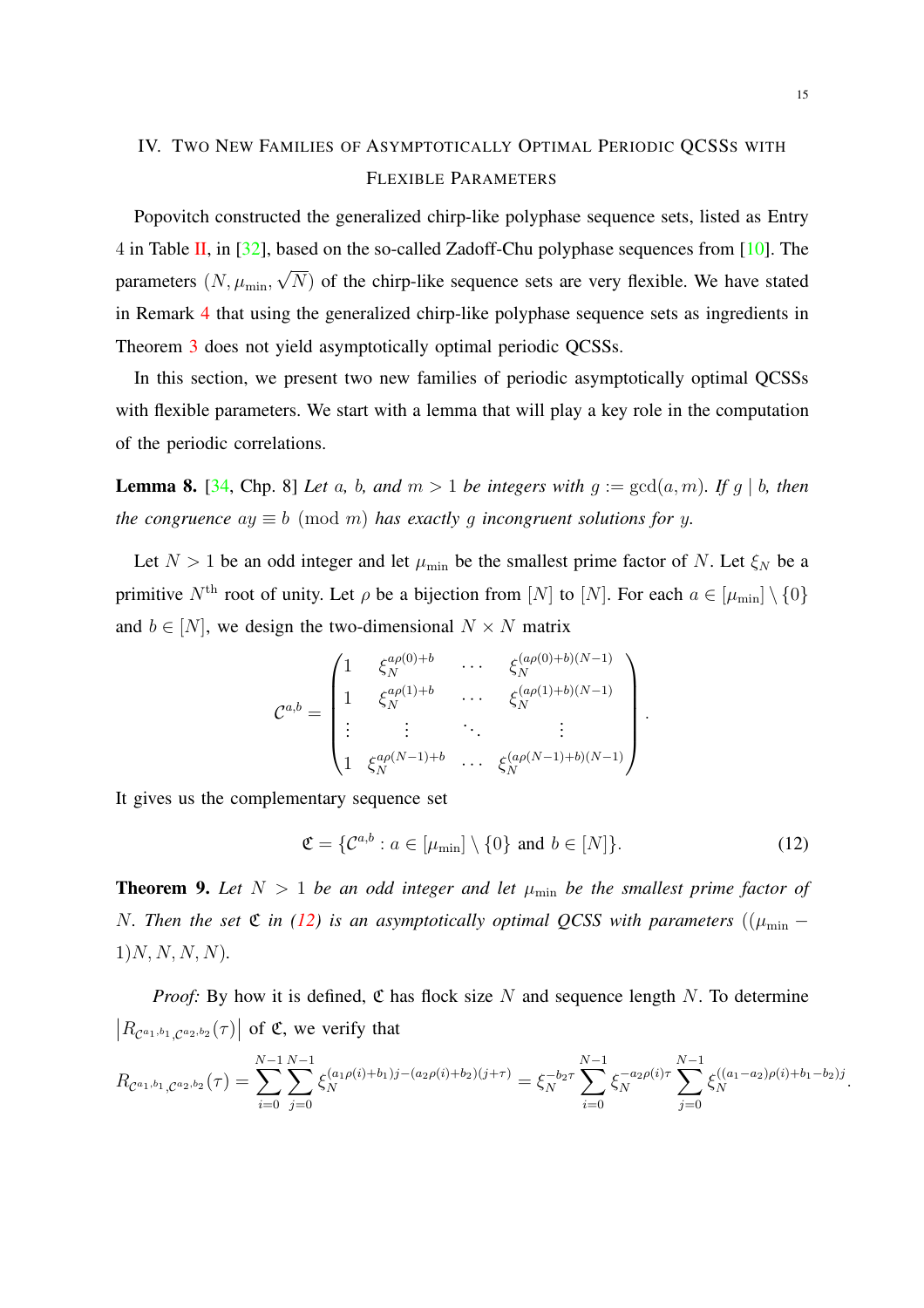# <span id="page-14-0"></span>IV. TWO NEW FAMILIES OF ASYMPTOTICALLY OPTIMAL PERIODIC QCSSS WITH FLEXIBLE PARAMETERS

Popovitch constructed the generalized chirp-like polyphase sequence sets, listed as Entry 4 in Table [II,](#page-9-0) in [\[32\]](#page-23-5), based on the so-called Zadoff-Chu polyphase sequences from [\[10](#page-21-7)]. The parameters  $(N, \mu_{\min}, \sqrt{N})$  of the chirp-like sequence sets are very flexible. We have stated in Remark [4](#page-11-2) that using the generalized chirp-like polyphase sequence sets as ingredients in Theorem [3](#page-10-0) does not yield asymptotically optimal periodic QCSSs.

In this section, we present two new families of periodic asymptotically optimal QCSSs with flexible parameters. We start with a lemma that will play a key role in the computation of the periodic correlations.

<span id="page-14-3"></span>**Lemma 8.** [\[34,](#page-23-9) Chp. 8] *Let* a, b, and  $m > 1$  *be integers with*  $g := \gcd(a, m)$ *. If*  $g | b$ *, then the congruence*  $ay \equiv b \pmod{m}$  *has exactly q incongruent solutions for y.* 

Let  $N > 1$  be an odd integer and let  $\mu_{\min}$  be the smallest prime factor of N. Let  $\xi_N$  be a primitive  $N^{\text{th}}$  root of unity. Let  $\rho$  be a bijection from  $[N]$  to  $[N]$ . For each  $a \in [\mu_{\min}] \setminus \{0\}$ and  $b \in [N]$ , we design the two-dimensional  $N \times N$  matrix

$$
\mathcal{C}^{a,b} = \begin{pmatrix} 1 & \xi_N^{a\rho(0)+b} & \cdots & \xi_N^{(a\rho(0)+b)(N-1)} \\ 1 & \xi_N^{a\rho(1)+b} & \cdots & \xi_N^{(a\rho(1)+b)(N-1)} \\ \vdots & \vdots & \ddots & \vdots \\ 1 & \xi_N^{a\rho(N-1)+b} & \cdots & \xi_N^{(a\rho(N-1)+b)(N-1)} \end{pmatrix}
$$

It gives us the complementary sequence set

<span id="page-14-2"></span>
$$
\mathfrak{C} = \{ \mathcal{C}^{a,b} : a \in [\mu_{\min}] \setminus \{0\} \text{ and } b \in [N] \}. \tag{12}
$$

.

<span id="page-14-1"></span>**Theorem 9.** Let  $N > 1$  be an odd integer and let  $\mu_{\min}$  be the smallest prime factor of N. Then the set  $\mathfrak C$  *in* [\(12\)](#page-14-2) *is an asymptotically optimal QCSS with parameters* (( $\mu_{\min}$  –  $1)N, N, N, N$ .

*Proof:* By how it is defined,  $\mathfrak C$  has flock size N and sequence length N. To determine  $|R_{\mathcal{C}^{a_1,b_1},\mathcal{C}^{a_2,b_2}}(\tau)|$  of  $\mathfrak{C}$ , we verify that

$$
R_{\mathcal{C}^{a_1,b_1},\mathcal{C}^{a_2,b_2}}(\tau) = \sum_{i=0}^{N-1} \sum_{j=0}^{N-1} \xi_N^{(a_1\rho(i)+b_1)j-(a_2\rho(i)+b_2)(j+\tau)} = \xi_N^{-b_2\tau} \sum_{i=0}^{N-1} \xi_N^{-a_2\rho(i)\tau} \sum_{j=0}^{N-1} \xi_N^{((a_1-a_2)\rho(i)+b_1-b_2)j}.
$$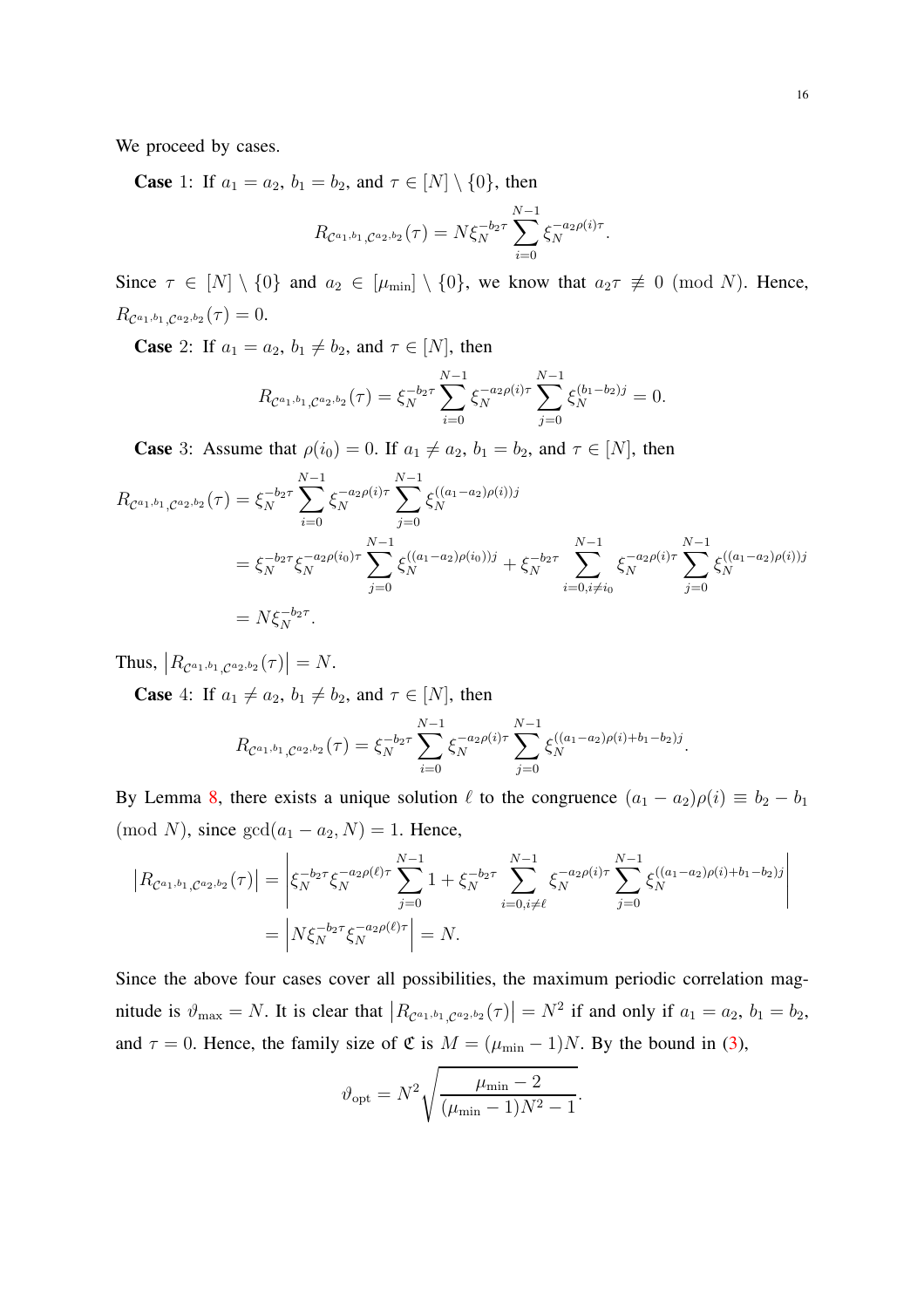We proceed by cases.

**Case** 1: If  $a_1 = a_2$ ,  $b_1 = b_2$ , and  $\tau \in [N] \setminus \{0\}$ , then

$$
R_{\mathcal{C}^{a_1,b_1},\mathcal{C}^{a_2,b_2}}(\tau) = N\xi_N^{-b_2\tau} \sum_{i=0}^{N-1} \xi_N^{-a_2\rho(i)\tau}.
$$

Since  $\tau \in [N] \setminus \{0\}$  and  $a_2 \in [\mu_{\min}] \setminus \{0\}$ , we know that  $a_2 \tau \not\equiv 0 \pmod{N}$ . Hence,  $R_{\mathcal{C}^{a_1,b_1},\mathcal{C}^{a_2,b_2}}(\tau)=0.$ 

**Case** 2: If  $a_1 = a_2$ ,  $b_1 \neq b_2$ , and  $\tau \in [N]$ , then

$$
R_{\mathcal{C}^{a_1,b_1},\mathcal{C}^{a_2,b_2}}(\tau) = \xi_N^{-b_2\tau} \sum_{i=0}^{N-1} \xi_N^{-a_2\rho(i)\tau} \sum_{j=0}^{N-1} \xi_N^{(b_1-b_2)j} = 0.
$$

**Case** 3: Assume that  $\rho(i_0) = 0$ . If  $a_1 \neq a_2$ ,  $b_1 = b_2$ , and  $\tau \in [N]$ , then

$$
R_{\mathcal{C}^{a_1,b_1},\mathcal{C}^{a_2,b_2}}(\tau) = \xi_N^{-b_2 \tau} \sum_{i=0}^{N-1} \xi_N^{-a_2 \rho(i)\tau} \sum_{j=0}^{N-1} \xi_N^{((a_1 - a_2)\rho(i))j}
$$
  
=  $\xi_N^{-b_2 \tau} \xi_N^{-a_2 \rho(i_0)\tau} \sum_{j=0}^{N-1} \xi_N^{((a_1 - a_2)\rho(i_0))j} + \xi_N^{-b_2 \tau} \sum_{i=0, i \neq i_0}^{N-1} \xi_N^{-a_2 \rho(i)\tau} \sum_{j=0}^{N-1} \xi_N^{((a_1 - a_2)\rho(i))j}$   
=  $N \xi_N^{-b_2 \tau}$ .

Thus,  $|R_{\mathcal{C}^{a_1,b_1},\mathcal{C}^{a_2,b_2}}(\tau)|=N.$ 

**Case** 4: If  $a_1 \neq a_2$ ,  $b_1 \neq b_2$ , and  $\tau \in [N]$ , then

$$
R_{\mathcal{C}^{a_1,b_1},\mathcal{C}^{a_2,b_2}}(\tau) = \xi_N^{-b_2\tau} \sum_{i=0}^{N-1} \xi_N^{-a_2\rho(i)\tau} \sum_{j=0}^{N-1} \xi_N^{((a_1-a_2)\rho(i)+b_1-b_2)j}.
$$

By Lemma [8,](#page-14-3) there exists a unique solution  $\ell$  to the congruence  $(a_1 - a_2)\rho(i) \equiv b_2 - b_1$ (mod N), since  $gcd(a_1 - a_2, N) = 1$ . Hence,

$$
\begin{aligned} \left| R_{\mathcal{C}^{a_1,b_1},\mathcal{C}^{a_2,b_2}}(\tau) \right| &= \left| \xi_N^{-b_2\tau} \xi_N^{-a_2\rho(\ell)\tau} \sum_{j=0}^{N-1} 1 + \xi_N^{-b_2\tau} \sum_{i=0,i\neq\ell}^{N-1} \xi_N^{-a_2\rho(i)\tau} \sum_{j=0}^{N-1} \xi_N^{((a_1-a_2)\rho(i)+b_1-b_2)j} \right| \\ &= \left| N \xi_N^{-b_2\tau} \xi_N^{-a_2\rho(\ell)\tau} \right| = N. \end{aligned}
$$

Since the above four cases cover all possibilities, the maximum periodic correlation magnitude is  $\vartheta_{\text{max}} = N$ . It is clear that  $|R_{\mathcal{C}^{a_1,b_1},\mathcal{C}^{a_2,b_2}}(\tau)| = N^2$  if and only if  $a_1 = a_2$ ,  $b_1 = b_2$ , and  $\tau = 0$ . Hence, the family size of  $\mathfrak{C}$  is  $M = (\mu_{\min} - 1)N$ . By the bound in [\(3\)](#page-3-0),

$$
\vartheta_{\rm opt} = N^2 \sqrt{\frac{\mu_{\rm min} - 2}{(\mu_{\rm min} - 1)N^2 - 1}}.
$$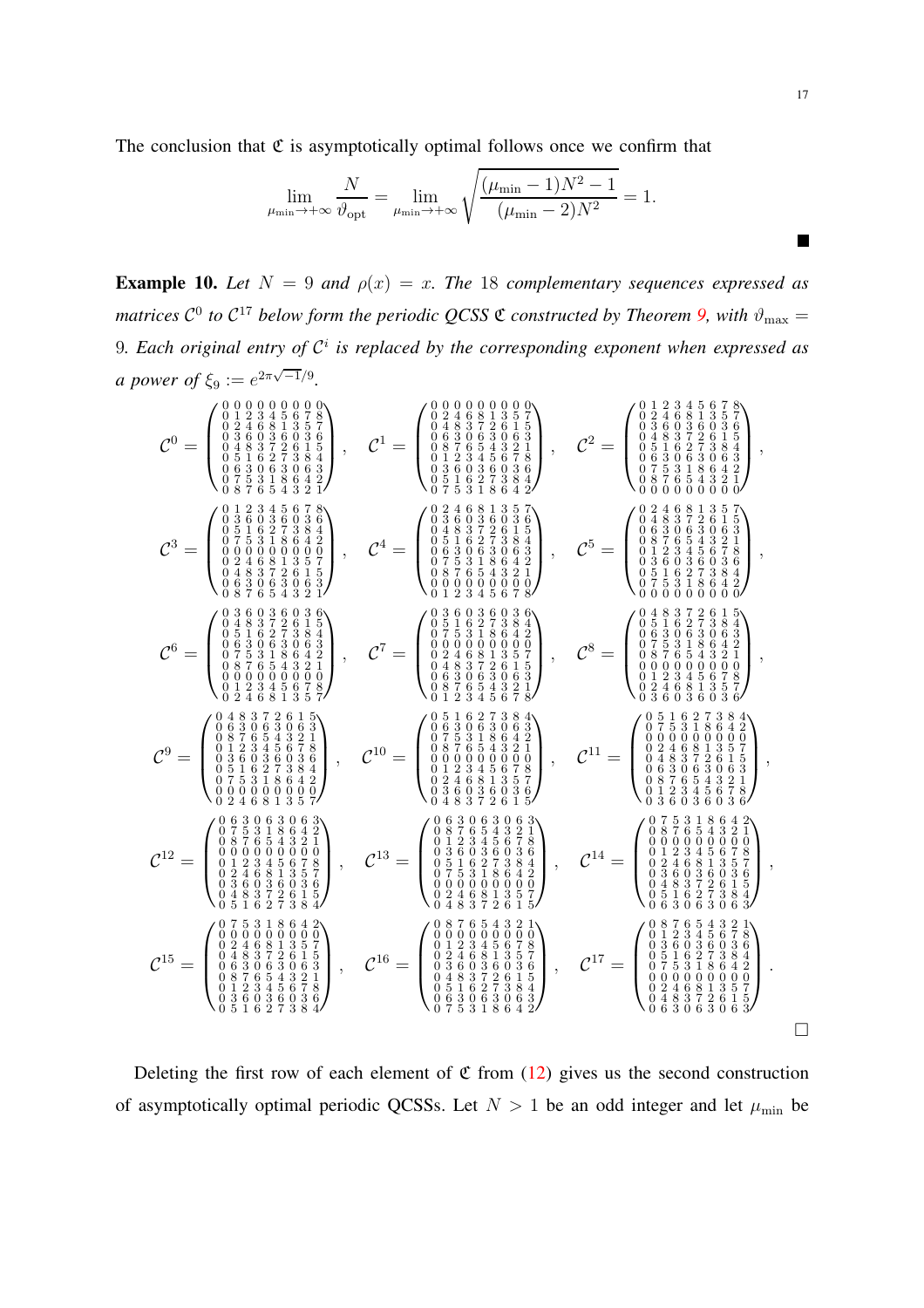The conclusion that  $\mathfrak C$  is asymptotically optimal follows once we confirm that

$$
\lim_{\mu_{\min}\to+\infty}\frac{N}{\vartheta_{\rm opt}}=\lim_{\mu_{\min}\to+\infty}\sqrt{\frac{(\mu_{\min}-1)N^2-1}{(\mu_{\min}-2)N^2}}=1.
$$

**Example 10.** Let  $N = 9$  and  $\rho(x) = x$ . The 18 complementary sequences expressed as matrices  $C^0$  to  $C^{17}$  below form the periodic QCSS  $\mathfrak C$  constructed by Theorem [9,](#page-14-1) with  $\vartheta_{\rm max} =$ 9*. Each original entry of* C i *is replaced by the corresponding exponent when expressed as a* power of  $\xi_9 := e^{2\pi\sqrt{-1}/9}$ .

C <sup>0</sup> = 0 0 0 0 0 0 0 0 0 0 1 2 3 4 5 6 7 8 0 2 4 6 8 1 3 5 7 0 3 6 0 3 6 0 3 6 0 4 8 3 7 2 6 1 5 0 5 1 6 2 7 3 8 4 0 6 3 0 6 3 0 6 3 0 7 5 3 1 8 6 4 2 0 8 7 6 5 4 3 2 1 , <sup>C</sup> <sup>1</sup> = 0 0 0 0 0 0 0 0 0 0 2 4 6 8 1 3 5 7 0 4 8 3 7 2 6 1 5 0 6 3 0 6 3 0 6 3 0 8 7 6 5 4 3 2 1 0 1 2 3 4 5 6 7 8 0 3 6 0 3 6 0 3 6 0 5 1 6 2 7 3 8 4 0 7 5 3 1 8 6 4 2 , <sup>C</sup> <sup>2</sup> = 0 1 2 3 4 5 6 7 8 0 2 4 6 8 1 3 5 7 0 3 6 0 3 6 0 3 6 0 4 8 3 7 2 6 1 5 0 5 1 6 2 7 3 8 4 0 6 3 0 6 3 0 6 3 0 7 5 3 1 8 6 4 2 0 8 7 6 5 4 3 2 1 0 0 0 0 0 0 0 0 0 , C <sup>3</sup> = 0 1 2 3 4 5 6 7 8 0 3 6 0 3 6 0 3 6 0 5 1 6 2 7 3 8 4 0 7 5 3 1 8 6 4 2 0 0 0 0 0 0 0 0 0 0 2 4 6 8 1 3 5 7 0 4 8 3 7 2 6 1 5 0 6 3 0 6 3 0 6 3 0 8 7 6 5 4 3 2 1 , <sup>C</sup> <sup>4</sup> = 0 2 4 6 8 1 3 5 7 0 3 6 0 3 6 0 3 6 0 4 8 3 7 2 6 1 5 0 5 1 6 2 7 3 8 4 0 6 3 0 6 3 0 6 3 0 7 5 3 1 8 6 4 2 0 8 7 6 5 4 3 2 1 0 0 0 0 0 0 0 0 0 0 1 2 3 4 5 6 7 8 , <sup>C</sup> <sup>5</sup> = 0 2 4 6 8 1 3 5 7 0 4 8 3 7 2 6 1 5 0 6 3 0 6 3 0 6 3 0 8 7 6 5 4 3 2 1 0 1 2 3 4 5 6 7 8 0 3 6 0 3 6 0 3 6 0 5 1 6 2 7 3 8 4 0 7 5 3 1 8 6 4 2 0 0 0 0 0 0 0 0 0 , C <sup>6</sup> = 0 3 6 0 3 6 0 3 6 0 4 8 3 7 2 6 1 5 0 5 1 6 2 7 3 8 4 0 6 3 0 6 3 0 6 3 0 7 5 3 1 8 6 4 2 0 8 7 6 5 4 3 2 1 0 0 0 0 0 0 0 0 0 0 1 2 3 4 5 6 7 8 0 2 4 6 8 1 3 5 7 , <sup>C</sup> <sup>7</sup> = 0 3 6 0 3 6 0 3 6 0 5 1 6 2 7 3 8 4 0 7 5 3 1 8 6 4 2 0 0 0 0 0 0 0 0 0 0 2 4 6 8 1 3 5 7 0 4 8 3 7 2 6 1 5 0 6 3 0 6 3 0 6 3 0 8 7 6 5 4 3 2 1 0 1 2 3 4 5 6 7 8 , <sup>C</sup> <sup>8</sup> = 0 4 8 3 7 2 6 1 5 0 5 1 6 2 7 3 8 4 0 6 3 0 6 3 0 6 3 0 7 5 3 1 8 6 4 2 0 8 7 6 5 4 3 2 1 0 0 0 0 0 0 0 0 0 0 1 2 3 4 5 6 7 8 0 2 4 6 8 1 3 5 7 0 3 6 0 3 6 0 3 6 , C <sup>9</sup> = 0 4 8 3 7 2 6 1 5 0 6 3 0 6 3 0 6 3 0 8 7 6 5 4 3 2 1 0 1 2 3 4 5 6 7 8 0 3 6 0 3 6 0 3 6 0 5 1 6 2 7 3 8 4 0 7 5 3 1 8 6 4 2 0 0 0 0 0 0 0 0 0 0 2 4 6 8 1 3 5 7 , <sup>C</sup> <sup>10</sup> = 0 5 1 6 2 7 3 8 4 0 6 3 0 6 3 0 6 3 0 7 5 3 1 8 6 4 2 0 8 7 6 5 4 3 2 1 0 0 0 0 0 0 0 0 0 0 1 2 3 4 5 6 7 8 0 2 4 6 8 1 3 5 7 0 3 6 0 3 6 0 3 6 0 4 8 3 7 2 6 1 5 , <sup>C</sup> <sup>11</sup> = 0 5 1 6 2 7 3 8 4 0 7 5 3 1 8 6 4 2 0 0 0 0 0 0 0 0 0 0 2 4 6 8 1 3 5 7 0 4 8 3 7 2 6 1 5 0 6 3 0 6 3 0 6 3 0 8 7 6 5 4 3 2 1 0 1 2 3 4 5 6 7 8 0 3 6 0 3 6 0 3 6 , C <sup>12</sup> = 0 6 3 0 6 3 0 6 3 0 7 5 3 1 8 6 4 2 0 8 7 6 5 4 3 2 1 0 0 0 0 0 0 0 0 0 0 1 2 3 4 5 6 7 8 0 2 4 6 8 1 3 5 7 0 3 6 0 3 6 0 3 6 0 4 8 3 7 2 6 1 5 0 5 1 6 2 7 3 8 4 , <sup>C</sup> <sup>13</sup> = 0 6 3 0 6 3 0 6 3 0 8 7 6 5 4 3 2 1 0 1 2 3 4 5 6 7 8 0 3 6 0 3 6 0 3 6 0 5 1 6 2 7 3 8 4 0 7 5 3 1 8 6 4 2 0 0 0 0 0 0 0 0 0 0 2 4 6 8 1 3 5 7 0 4 8 3 7 2 6 1 5 , <sup>C</sup> <sup>14</sup> = 0 7 5 3 1 8 6 4 2 0 8 7 6 5 4 3 2 1 0 0 0 0 0 0 0 0 0 0 1 2 3 4 5 6 7 8 0 2 4 6 8 1 3 5 7 0 3 6 0 3 6 0 3 6 0 4 8 3 7 2 6 1 5 0 5 1 6 2 7 3 8 4 0 6 3 0 6 3 0 6 3 , C <sup>15</sup> = 0 7 5 3 1 8 6 4 2 0 0 0 0 0 0 0 0 0 0 2 4 6 8 1 3 5 7 0 4 8 3 7 2 6 1 5 0 6 3 0 6 3 0 6 3 0 8 7 6 5 4 3 2 1 0 1 2 3 4 5 6 7 8 0 3 6 0 3 6 0 3 6 0 5 1 6 2 7 3 8 4 , <sup>C</sup> <sup>16</sup> = 0 8 7 6 5 4 3 2 1 0 0 0 0 0 0 0 0 0 0 1 2 3 4 5 6 7 8 0 2 4 6 8 1 3 5 7 0 3 6 0 3 6 0 3 6 0 4 8 3 7 2 6 1 5 0 5 1 6 2 7 3 8 4 0 6 3 0 6 3 0 6 3 0 7 5 3 1 8 6 4 2 , <sup>C</sup> <sup>17</sup> = 0 8 7 6 5 4 3 2 1 0 1 2 3 4 5 6 7 8 0 3 6 0 3 6 0 3 6 0 5 1 6 2 7 3 8 4 0 7 5 3 1 8 6 4 2 0 0 0 0 0 0 0 0 0 0 2 4 6 8 1 3 5 7 0 4 8 3 7 2 6 1 5 0 6 3 0 6 3 0 6 3 .

Deleting the first row of each element of  $\mathfrak C$  from [\(12\)](#page-14-2) gives us the second construction of asymptotically optimal periodic QCSSs. Let  $N > 1$  be an odd integer and let  $\mu_{\min}$  be

 $\blacksquare$ 

 $\Box$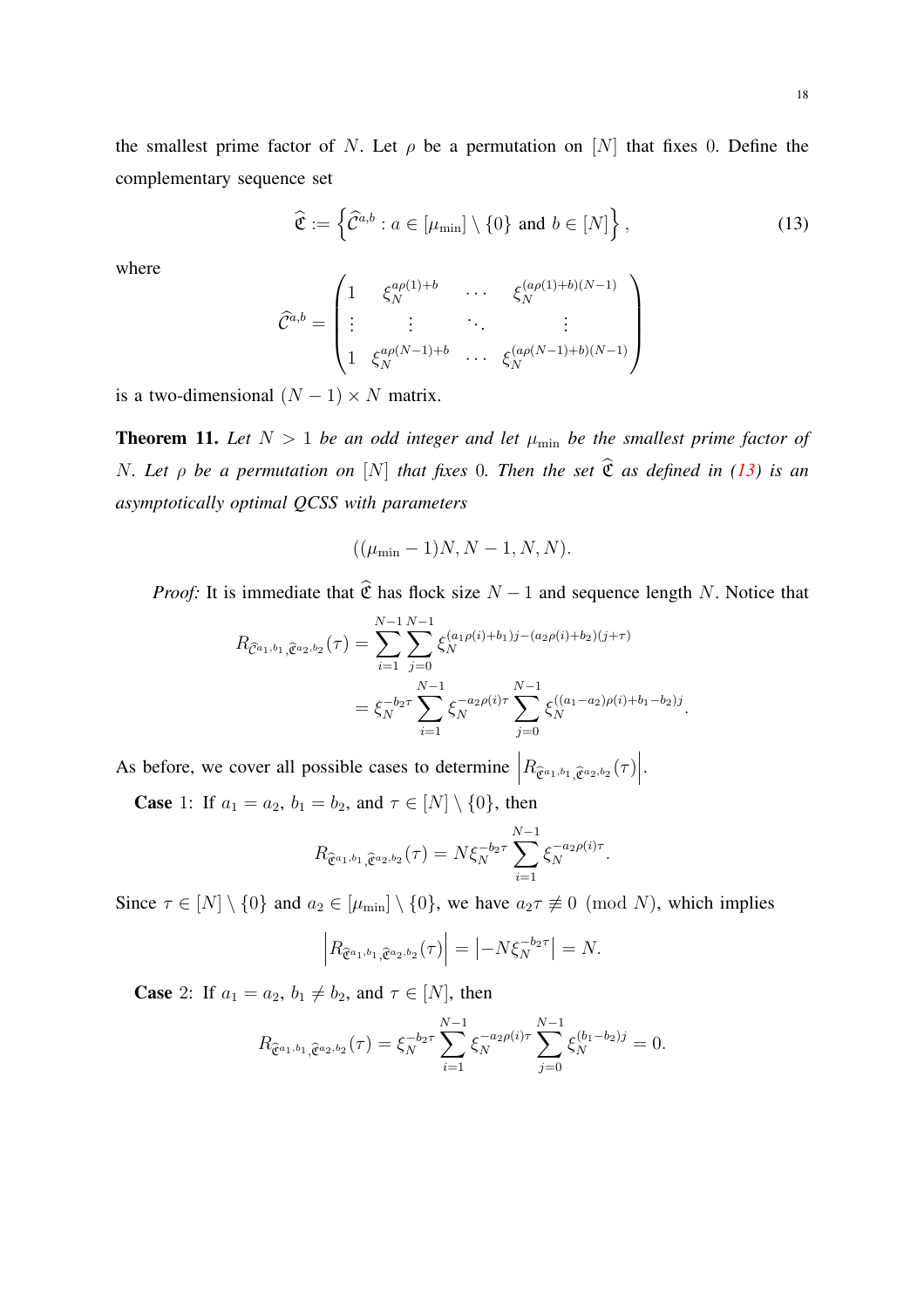the smallest prime factor of N. Let  $\rho$  be a permutation on [N] that fixes 0. Define the complementary sequence set

<span id="page-17-1"></span>
$$
\widehat{\mathfrak{C}} := \left\{ \widehat{\mathcal{C}}^{a,b} : a \in [\mu_{\min}] \setminus \{0\} \text{ and } b \in [N] \right\},\tag{13}
$$

where

$$
\widehat{\mathcal{C}}^{a,b} = \begin{pmatrix} 1 & \xi_N^{a\rho(1)+b} & \cdots & \xi_N^{(a\rho(1)+b)(N-1)} \\ \vdots & \vdots & \ddots & \vdots \\ 1 & \xi_N^{a\rho(N-1)+b} & \cdots & \xi_N^{(a\rho(N-1)+b)(N-1)} \end{pmatrix}
$$

is a two-dimensional  $(N - 1) \times N$  matrix.

<span id="page-17-0"></span>**Theorem 11.** Let  $N > 1$  be an odd integer and let  $\mu_{\min}$  be the smallest prime factor of *N. Let*  $\rho$  *be a permutation on* [N] *that fixes* 0*. Then the set*  $\hat{\mathfrak{C}}$  *as defined in* [\(13\)](#page-17-1) *is an asymptotically optimal QCSS with parameters*

$$
((\mu_{\min}-1)N, N-1, N, N).
$$

*Proof:* It is immediate that  $\hat{\mathfrak{C}}$  has flock size  $N - 1$  and sequence length N. Notice that

$$
R_{\hat{C}^{a_1,b_1},\hat{C}^{a_2,b_2}}(\tau) = \sum_{i=1}^{N-1} \sum_{j=0}^{N-1} \xi_N^{(a_1\rho(i)+b_1)j-(a_2\rho(i)+b_2)(j+\tau)}
$$
  
=  $\xi_N^{-b_2\tau} \sum_{i=1}^{N-1} \xi_N^{-a_2\rho(i)\tau} \sum_{j=0}^{N-1} \xi_N^{((a_1-a_2)\rho(i)+b_1-b_2)j}.$ 

As before, we cover all possible cases to determine  $\left| R_{\hat{\mathcal{C}}^{a_1,b_1}, \hat{\mathcal{C}}^{a_2,b_2}}(\tau) \right|$ .

**Case** 1: If  $a_1 = a_2$ ,  $b_1 = b_2$ , and  $\tau \in [N] \setminus \{0\}$ , then

$$
R_{\hat{\mathfrak{C}}^{a_1,b_1},\hat{\mathfrak{C}}^{a_2,b_2}}(\tau) = N \xi_N^{-b_2 \tau} \sum_{i=1}^{N-1} \xi_N^{-a_2 \rho(i) \tau}.
$$

Since  $\tau \in [N] \setminus \{0\}$  and  $a_2 \in [\mu_{\text{min}}] \setminus \{0\}$ , we have  $a_2 \tau \not\equiv 0 \pmod{N}$ , which implies

$$
\left|R_{\hat{\mathfrak{C}}^{a_1,b_1},\hat{\mathfrak{C}}^{a_2,b_2}}(\tau)\right| = \left|-N\xi_N^{-b_2\tau}\right| = N.
$$

**Case** 2: If  $a_1 = a_2$ ,  $b_1 \neq b_2$ , and  $\tau \in [N]$ , then

$$
R_{\hat{\mathfrak{C}}^{a_1,b_1},\hat{\mathfrak{C}}^{a_2,b_2}}(\tau) = \xi_N^{-b_2\tau} \sum_{i=1}^{N-1} \xi_N^{-a_2\rho(i)\tau} \sum_{j=0}^{N-1} \xi_N^{(b_1-b_2)j} = 0.
$$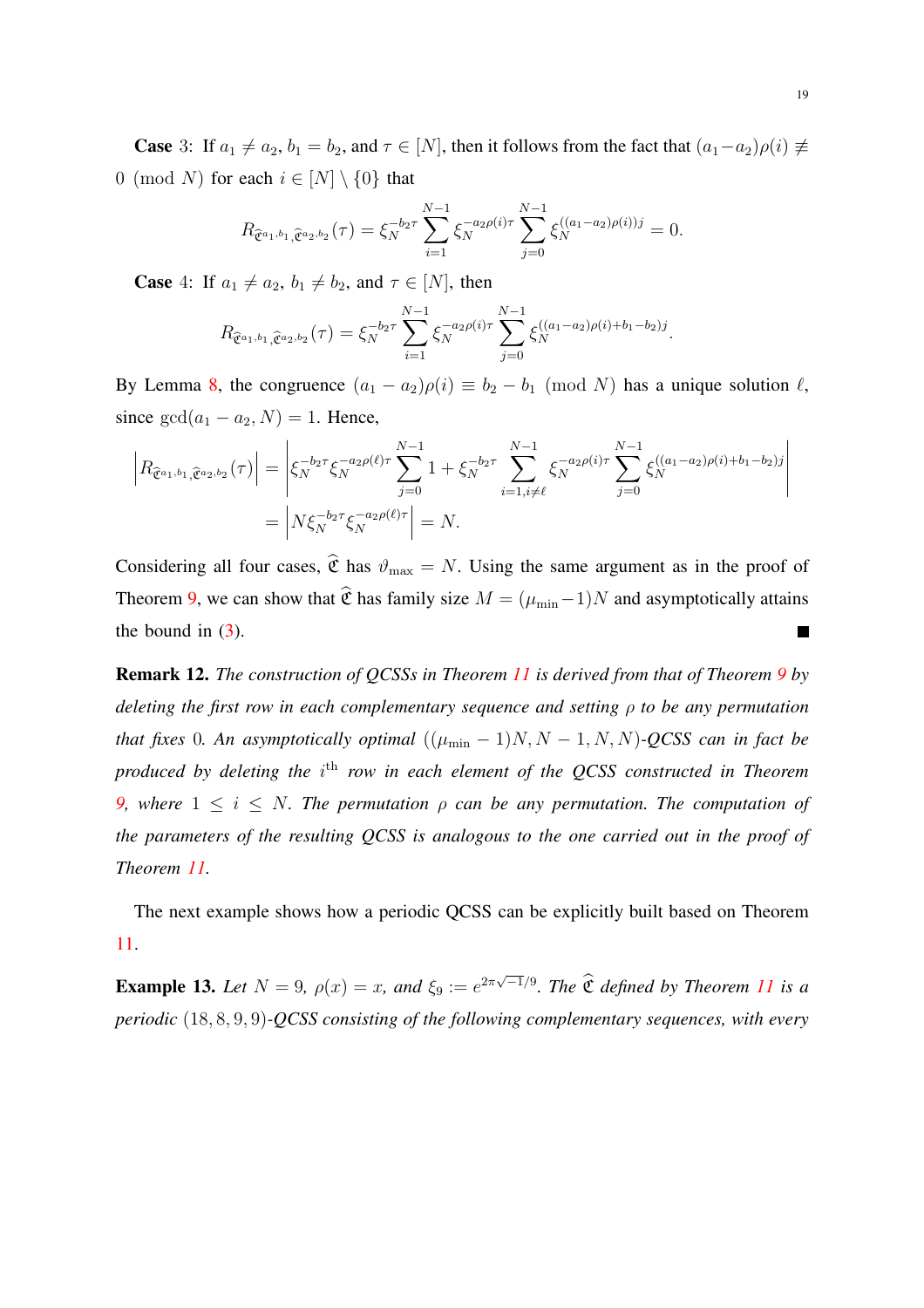**Case** 3: If  $a_1 \neq a_2$ ,  $b_1 = b_2$ , and  $\tau \in [N]$ , then it follows from the fact that  $(a_1 - a_2)\rho(i) \neq$ 0 (mod N) for each  $i \in [N] \setminus \{0\}$  that

$$
R_{\hat{\mathfrak{C}}^{a_1,b_1},\hat{\mathfrak{C}}^{a_2,b_2}}(\tau) = \xi_N^{-b_2\tau} \sum_{i=1}^{N-1} \xi_N^{-a_2\rho(i)\tau} \sum_{j=0}^{N-1} \xi_N^{((a_1-a_2)\rho(i))j} = 0.
$$

**Case** 4: If  $a_1 \neq a_2$ ,  $b_1 \neq b_2$ , and  $\tau \in [N]$ , then

$$
R_{\hat{\mathfrak{C}}^{a_1,b_1},\hat{\mathfrak{C}}^{a_2,b_2}}(\tau) = \xi_N^{-b_2\tau} \sum_{i=1}^{N-1} \xi_N^{-a_2\rho(i)\tau} \sum_{j=0}^{N-1} \xi_N^{((a_1-a_2)\rho(i)+b_1-b_2)j}.
$$

By Lemma [8,](#page-14-3) the congruence  $(a_1 - a_2)\rho(i) \equiv b_2 - b_1 \pmod{N}$  has a unique solution  $\ell$ , since  $gcd(a_1 - a_2, N) = 1$ . Hence,

$$
\left| R_{\hat{\mathfrak{C}}^{a_1,b_1},\hat{\mathfrak{C}}^{a_2,b_2}}(\tau) \right| = \left| \xi_N^{-b_2 \tau} \xi_N^{-a_2 \rho(\ell) \tau} \sum_{j=0}^{N-1} 1 + \xi_N^{-b_2 \tau} \sum_{i=1, i \neq \ell}^{N-1} \xi_N^{-a_2 \rho(i) \tau} \sum_{j=0}^{N-1} \xi_N^{((a_1 - a_2)\rho(i) + b_1 - b_2)j} \right|
$$
  
= 
$$
\left| N \xi_N^{-b_2 \tau} \xi_N^{-a_2 \rho(\ell) \tau} \right| = N.
$$

Considering all four cases,  $\hat{\mathfrak{C}}$  has  $\vartheta_{\text{max}} = N$ . Using the same argument as in the proof of Theorem [9,](#page-14-1) we can show that  $\hat{\mathfrak{C}}$  has family size  $M = (\mu_{\min}-1)N$  and asymptotically attains the bound in  $(3)$ .  $\blacksquare$ 

Remark 12. *The construction of QCSSs in Theorem [11](#page-17-0) is derived from that of Theorem [9](#page-14-1) by deleting the first row in each complementary sequence and setting* ρ *to be any permutation that fixes* 0*. An asymptotically optimal*  $((\mu_{\min} - 1)N, N - 1, N, N)$ *-QCSS can in fact be* produced by deleting the i<sup>th</sup> row in each element of the QCSS constructed in Theorem *[9,](#page-14-1)* where  $1 \leq i \leq N$ . The permutation  $\rho$  can be any permutation. The computation of *the parameters of the resulting QCSS is analogous to the one carried out in the proof of Theorem [11.](#page-17-0)*

The next example shows how a periodic QCSS can be explicitly built based on Theorem [11.](#page-17-0)

**Example 13.** Let  $N = 9$ ,  $\rho(x) = x$ , and  $\xi_9 := e^{2\pi\sqrt{-1}/9}$ . The  $\hat{\mathfrak{C}}$  defined by Theorem [11](#page-17-0) is a *periodic* (18, 8, 9, 9)*-QCSS consisting of the following complementary sequences, with every*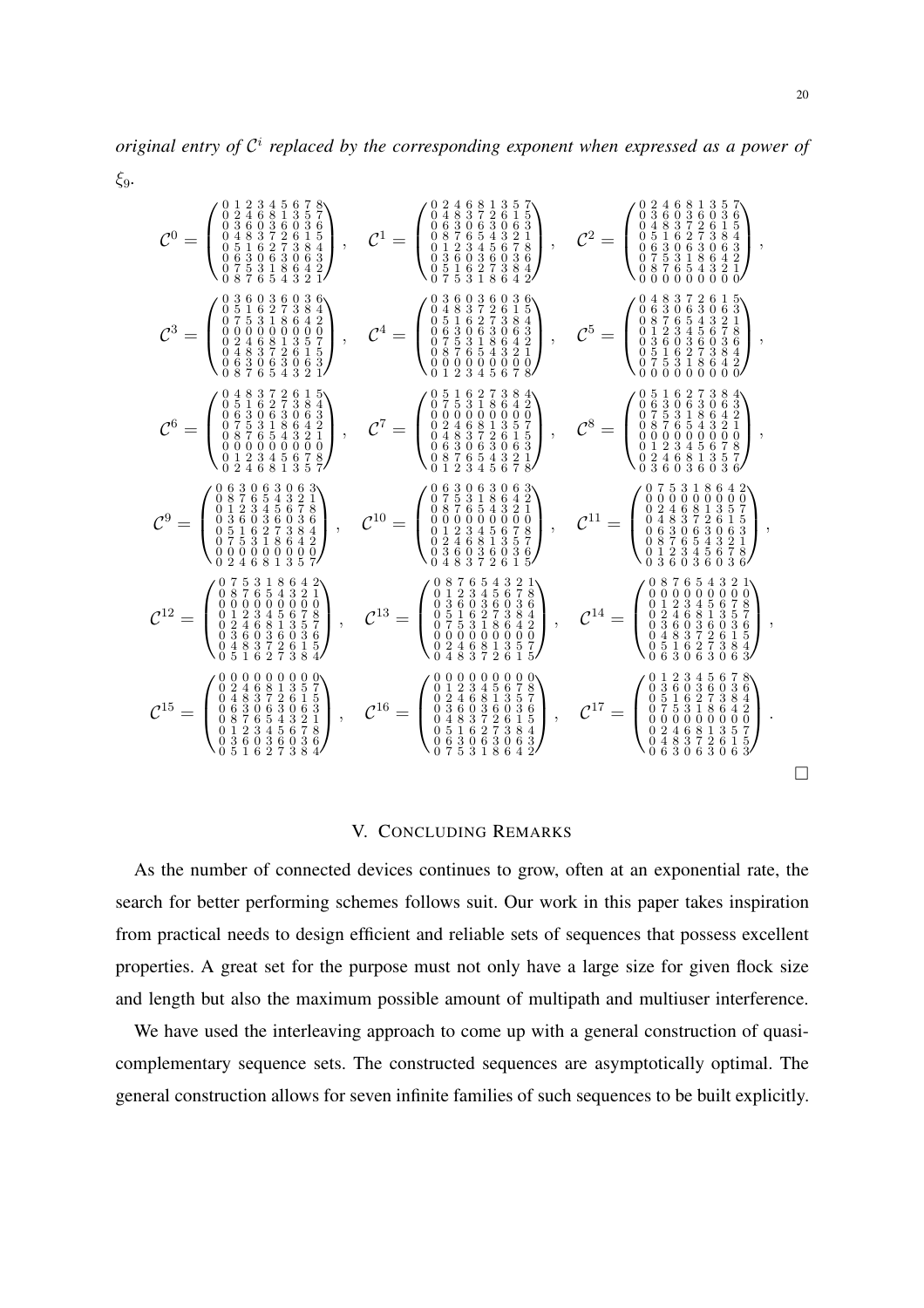20

 $\Box$ 

ξ9*.*

C <sup>0</sup> = 0 1 2 3 4 5 6 7 8 0 2 4 6 8 1 3 5 7 0 3 6 0 3 6 0 3 6 0 4 8 3 7 2 6 1 5 0 5 1 6 2 7 3 8 4 0 6 3 0 6 3 0 6 3 0 7 5 3 1 8 6 4 2 0 8 7 6 5 4 3 2 1 , <sup>C</sup> <sup>1</sup> = 0 2 4 6 8 1 3 5 7 0 4 8 3 7 2 6 1 5 0 6 3 0 6 3 0 6 3 0 8 7 6 5 4 3 2 1 0 1 2 3 4 5 6 7 8 0 3 6 0 3 6 0 3 6 0 5 1 6 2 7 3 8 4 0 7 5 3 1 8 6 4 2 , <sup>C</sup> <sup>2</sup> = 0 2 4 6 8 1 3 5 7 0 3 6 0 3 6 0 3 6 0 4 8 3 7 2 6 1 5 0 5 1 6 2 7 3 8 4 0 6 3 0 6 3 0 6 3 0 7 5 3 1 8 6 4 2 0 8 7 6 5 4 3 2 1 0 0 0 0 0 0 0 0 0 , C <sup>3</sup> = 0 3 6 0 3 6 0 3 6 0 5 1 6 2 7 3 8 4 0 7 5 3 1 8 6 4 2 0 0 0 0 0 0 0 0 0 0 2 4 6 8 1 3 5 7 0 4 8 3 7 2 6 1 5 0 6 3 0 6 3 0 6 3 0 8 7 6 5 4 3 2 1 , <sup>C</sup> <sup>4</sup> = 0 3 6 0 3 6 0 3 6 0 4 8 3 7 2 6 1 5 0 5 1 6 2 7 3 8 4 0 6 3 0 6 3 0 6 3 0 7 5 3 1 8 6 4 2 0 8 7 6 5 4 3 2 1 0 0 0 0 0 0 0 0 0 0 1 2 3 4 5 6 7 8 , <sup>C</sup> <sup>5</sup> = 0 4 8 3 7 2 6 1 5 0 6 3 0 6 3 0 6 3 0 8 7 6 5 4 3 2 1 0 1 2 3 4 5 6 7 8 0 3 6 0 3 6 0 3 6 0 5 1 6 2 7 3 8 4 0 7 5 3 1 8 6 4 2 0 0 0 0 0 0 0 0 0 , C <sup>6</sup> = 0 4 8 3 7 2 6 1 5 0 5 1 6 2 7 3 8 4 0 6 3 0 6 3 0 6 3 0 7 5 3 1 8 6 4 2 0 8 7 6 5 4 3 2 1 0 0 0 0 0 0 0 0 0 0 1 2 3 4 5 6 7 8 0 2 4 6 8 1 3 5 7 , <sup>C</sup> <sup>7</sup> = 0 5 1 6 2 7 3 8 4 0 7 5 3 1 8 6 4 2 0 0 0 0 0 0 0 0 0 0 2 4 6 8 1 3 5 7 0 4 8 3 7 2 6 1 5 0 6 3 0 6 3 0 6 3 0 8 7 6 5 4 3 2 1 0 1 2 3 4 5 6 7 8 , <sup>C</sup> <sup>8</sup> = 0 5 1 6 2 7 3 8 4 0 6 3 0 6 3 0 6 3 0 7 5 3 1 8 6 4 2 0 8 7 6 5 4 3 2 1 0 0 0 0 0 0 0 0 0 0 1 2 3 4 5 6 7 8 0 2 4 6 8 1 3 5 7 0 3 6 0 3 6 0 3 6 , C <sup>9</sup> = 0 6 3 0 6 3 0 6 3 0 8 7 6 5 4 3 2 1 0 1 2 3 4 5 6 7 8 0 3 6 0 3 6 0 3 6 0 5 1 6 2 7 3 8 4 0 7 5 3 1 8 6 4 2 0 0 0 0 0 0 0 0 0 0 2 4 6 8 1 3 5 7 , <sup>C</sup> <sup>10</sup> = 0 6 3 0 6 3 0 6 3 0 7 5 3 1 8 6 4 2 0 8 7 6 5 4 3 2 1 0 0 0 0 0 0 0 0 0 0 1 2 3 4 5 6 7 8 0 2 4 6 8 1 3 5 7 0 3 6 0 3 6 0 3 6 0 4 8 3 7 2 6 1 5 , <sup>C</sup> <sup>11</sup> = 0 7 5 3 1 8 6 4 2 0 0 0 0 0 0 0 0 0 0 2 4 6 8 1 3 5 7 0 4 8 3 7 2 6 1 5 0 6 3 0 6 3 0 6 3 0 8 7 6 5 4 3 2 1 0 1 2 3 4 5 6 7 8 0 3 6 0 3 6 0 3 6 , C <sup>12</sup> = 0 7 5 3 1 8 6 4 2 0 8 7 6 5 4 3 2 1 0 0 0 0 0 0 0 0 0 0 1 2 3 4 5 6 7 8 0 2 4 6 8 1 3 5 7 0 3 6 0 3 6 0 3 6 0 4 8 3 7 2 6 1 5 0 5 1 6 2 7 3 8 4 , <sup>C</sup> <sup>13</sup> = 0 8 7 6 5 4 3 2 1 0 1 2 3 4 5 6 7 8 0 3 6 0 3 6 0 3 6 0 5 1 6 2 7 3 8 4 0 7 5 3 1 8 6 4 2 0 0 0 0 0 0 0 0 0 0 2 4 6 8 1 3 5 7 0 4 8 3 7 2 6 1 5 , <sup>C</sup> <sup>14</sup> = 0 8 7 6 5 4 3 2 1 0 0 0 0 0 0 0 0 0 0 1 2 3 4 5 6 7 8 0 2 4 6 8 1 3 5 7 0 3 6 0 3 6 0 3 6 0 4 8 3 7 2 6 1 5 0 5 1 6 2 7 3 8 4 0 6 3 0 6 3 0 6 3 , C <sup>15</sup> = 0 0 0 0 0 0 0 0 0 0 2 4 6 8 1 3 5 7 0 4 8 3 7 2 6 1 5 0 6 3 0 6 3 0 6 3 0 8 7 6 5 4 3 2 1 0 1 2 3 4 5 6 7 8 0 3 6 0 3 6 0 3 6 0 5 1 6 2 7 3 8 4 , <sup>C</sup> <sup>16</sup> = 0 0 0 0 0 0 0 0 0 0 1 2 3 4 5 6 7 8 0 2 4 6 8 1 3 5 7 0 3 6 0 3 6 0 3 6 0 4 8 3 7 2 6 1 5 0 5 1 6 2 7 3 8 4 0 6 3 0 6 3 0 6 3 0 7 5 3 1 8 6 4 2 , <sup>C</sup> <sup>17</sup> = 0 1 2 3 4 5 6 7 8 0 3 6 0 3 6 0 3 6 0 5 1 6 2 7 3 8 4 0 7 5 3 1 8 6 4 2 0 0 0 0 0 0 0 0 0 0 2 4 6 8 1 3 5 7 0 4 8 3 7 2 6 1 5 0 6 3 0 6 3 0 6 3 .

## V. CONCLUDING REMARKS

<span id="page-19-0"></span>As the number of connected devices continues to grow, often at an exponential rate, the search for better performing schemes follows suit. Our work in this paper takes inspiration from practical needs to design efficient and reliable sets of sequences that possess excellent properties. A great set for the purpose must not only have a large size for given flock size and length but also the maximum possible amount of multipath and multiuser interference.

We have used the interleaving approach to come up with a general construction of quasicomplementary sequence sets. The constructed sequences are asymptotically optimal. The general construction allows for seven infinite families of such sequences to be built explicitly.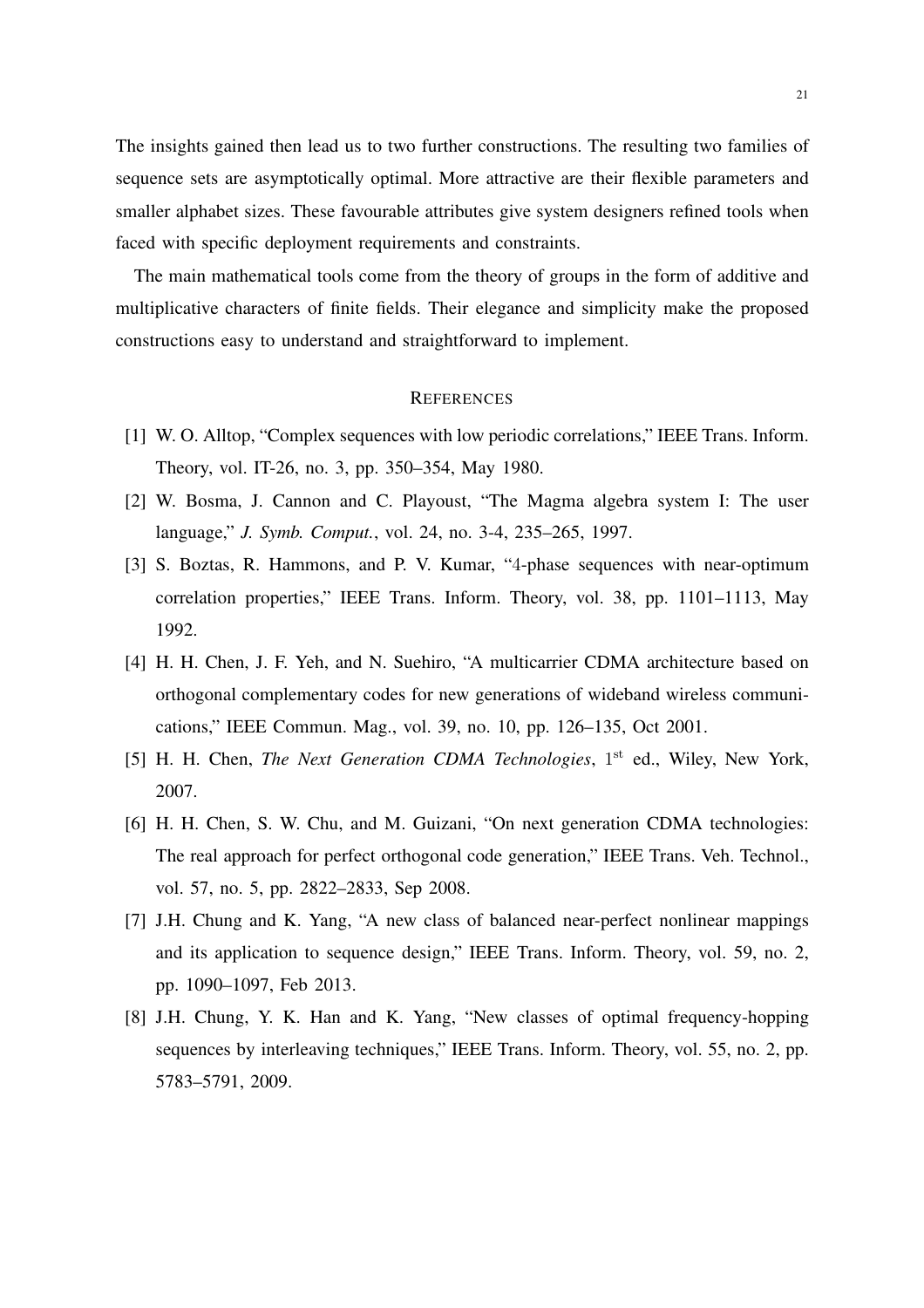The insights gained then lead us to two further constructions. The resulting two families of sequence sets are asymptotically optimal. More attractive are their flexible parameters and smaller alphabet sizes. These favourable attributes give system designers refined tools when faced with specific deployment requirements and constraints.

The main mathematical tools come from the theory of groups in the form of additive and multiplicative characters of finite fields. Their elegance and simplicity make the proposed constructions easy to understand and straightforward to implement.

#### **REFERENCES**

- <span id="page-20-4"></span>[1] W. O. Alltop, "Complex sequences with low periodic correlations," IEEE Trans. Inform. Theory, vol. IT-26, no. 3, pp. 350–354, May 1980.
- <span id="page-20-3"></span>[2] W. Bosma, J. Cannon and C. Playoust, "The Magma algebra system I: The user language," *J. Symb. Comput.*, vol. 24, no. 3-4, 235–265, 1997.
- <span id="page-20-5"></span>[3] S. Boztas, R. Hammons, and P. V. Kumar, "4-phase sequences with near-optimum correlation properties," IEEE Trans. Inform. Theory, vol. 38, pp. 1101–1113, May 1992.
- <span id="page-20-0"></span>[4] H. H. Chen, J. F. Yeh, and N. Suehiro, "A multicarrier CDMA architecture based on orthogonal complementary codes for new generations of wideband wireless communications," IEEE Commun. Mag., vol. 39, no. 10, pp. 126–135, Oct 2001.
- [5] H. H. Chen, *The Next Generation CDMA Technologies*, 1<sup>st</sup> ed., Wiley, New York, 2007.
- <span id="page-20-1"></span>[6] H. H. Chen, S. W. Chu, and M. Guizani, "On next generation CDMA technologies: The real approach for perfect orthogonal code generation," IEEE Trans. Veh. Technol., vol. 57, no. 5, pp. 2822–2833, Sep 2008.
- <span id="page-20-6"></span>[7] J.H. Chung and K. Yang, "A new class of balanced near-perfect nonlinear mappings and its application to sequence design," IEEE Trans. Inform. Theory, vol. 59, no. 2, pp. 1090–1097, Feb 2013.
- <span id="page-20-2"></span>[8] J.H. Chung, Y. K. Han and K. Yang, "New classes of optimal frequency-hopping sequences by interleaving techniques," IEEE Trans. Inform. Theory, vol. 55, no. 2, pp. 5783–5791, 2009.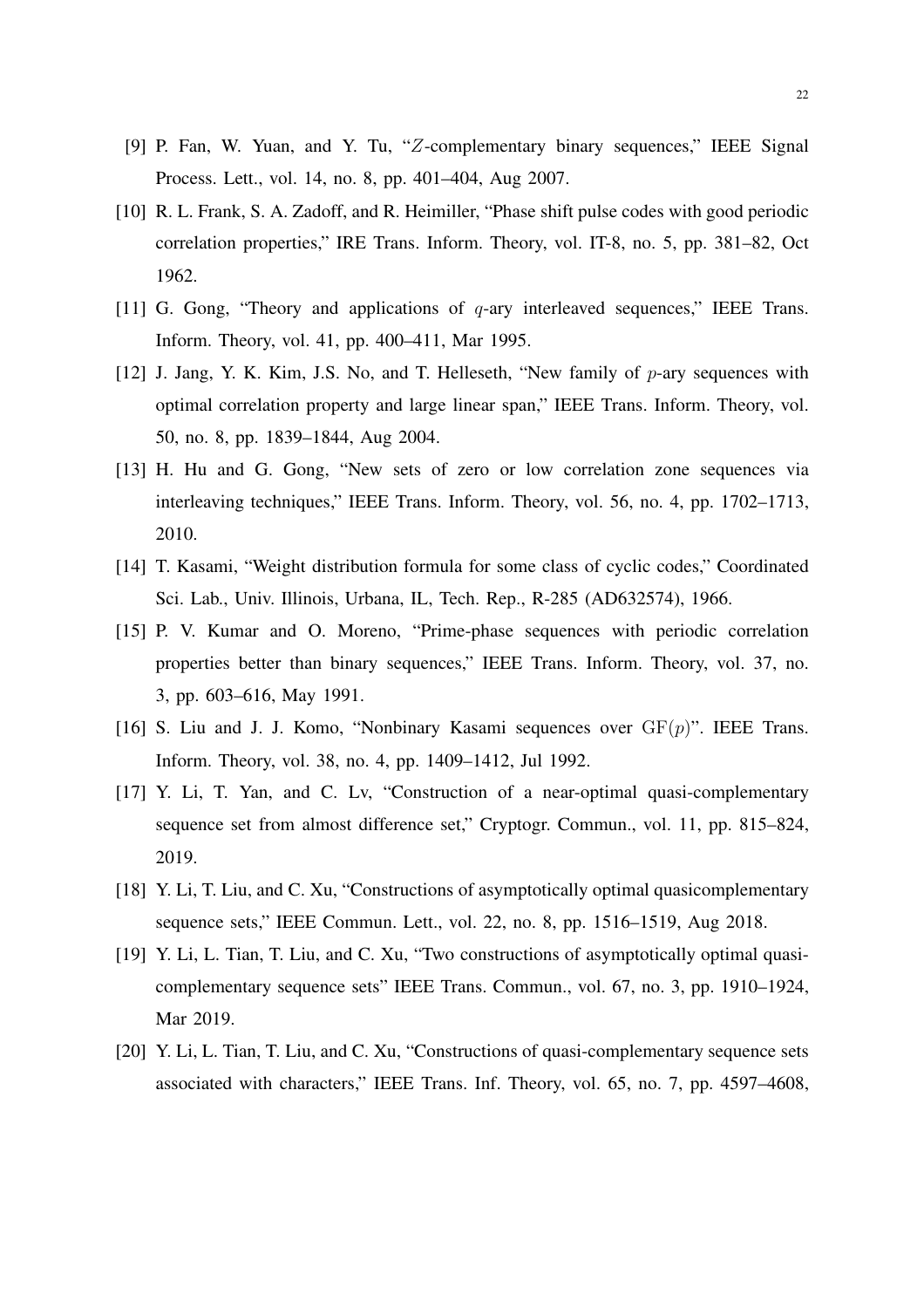- <span id="page-21-0"></span>[9] P. Fan, W. Yuan, and Y. Tu, "Z-complementary binary sequences," IEEE Signal Process. Lett., vol. 14, no. 8, pp. 401–404, Aug 2007.
- <span id="page-21-7"></span>[10] R. L. Frank, S. A. Zadoff, and R. Heimiller, "Phase shift pulse codes with good periodic correlation properties," IRE Trans. Inform. Theory, vol. IT-8, no. 5, pp. 381–82, Oct 1962.
- <span id="page-21-5"></span>[11] G. Gong, "Theory and applications of q-ary interleaved sequences," IEEE Trans. Inform. Theory, vol. 41, pp. 400–411, Mar 1995.
- <span id="page-21-9"></span>[12] J. Jang, Y. K. Kim, J.S. No, and T. Helleseth, "New family of  $p$ -ary sequences with optimal correlation property and large linear span," IEEE Trans. Inform. Theory, vol. 50, no. 8, pp. 1839–1844, Aug 2004.
- <span id="page-21-6"></span>[13] H. Hu and G. Gong, "New sets of zero or low correlation zone sequences via interleaving techniques," IEEE Trans. Inform. Theory, vol. 56, no. 4, pp. 1702–1713, 2010.
- <span id="page-21-8"></span>[14] T. Kasami, "Weight distribution formula for some class of cyclic codes," Coordinated Sci. Lab., Univ. Illinois, Urbana, IL, Tech. Rep., R-285 (AD632574), 1966.
- <span id="page-21-10"></span>[15] P. V. Kumar and O. Moreno, "Prime-phase sequences with periodic correlation properties better than binary sequences," IEEE Trans. Inform. Theory, vol. 37, no. 3, pp. 603–616, May 1991.
- <span id="page-21-11"></span>[16] S. Liu and J. J. Komo, "Nonbinary Kasami sequences over  $GF(p)$ ". IEEE Trans. Inform. Theory, vol. 38, no. 4, pp. 1409–1412, Jul 1992.
- <span id="page-21-1"></span>[17] Y. Li, T. Yan, and C. Lv, "Construction of a near-optimal quasi-complementary sequence set from almost difference set," Cryptogr. Commun., vol. 11, pp. 815–824, 2019.
- <span id="page-21-2"></span>[18] Y. Li, T. Liu, and C. Xu, "Constructions of asymptotically optimal quasicomplementary sequence sets," IEEE Commun. Lett., vol. 22, no. 8, pp. 1516–1519, Aug 2018.
- <span id="page-21-3"></span>[19] Y. Li, L. Tian, T. Liu, and C. Xu, "Two constructions of asymptotically optimal quasicomplementary sequence sets" IEEE Trans. Commun., vol. 67, no. 3, pp. 1910–1924, Mar 2019.
- <span id="page-21-4"></span>[20] Y. Li, L. Tian, T. Liu, and C. Xu, "Constructions of quasi-complementary sequence sets associated with characters," IEEE Trans. Inf. Theory, vol. 65, no. 7, pp. 4597–4608,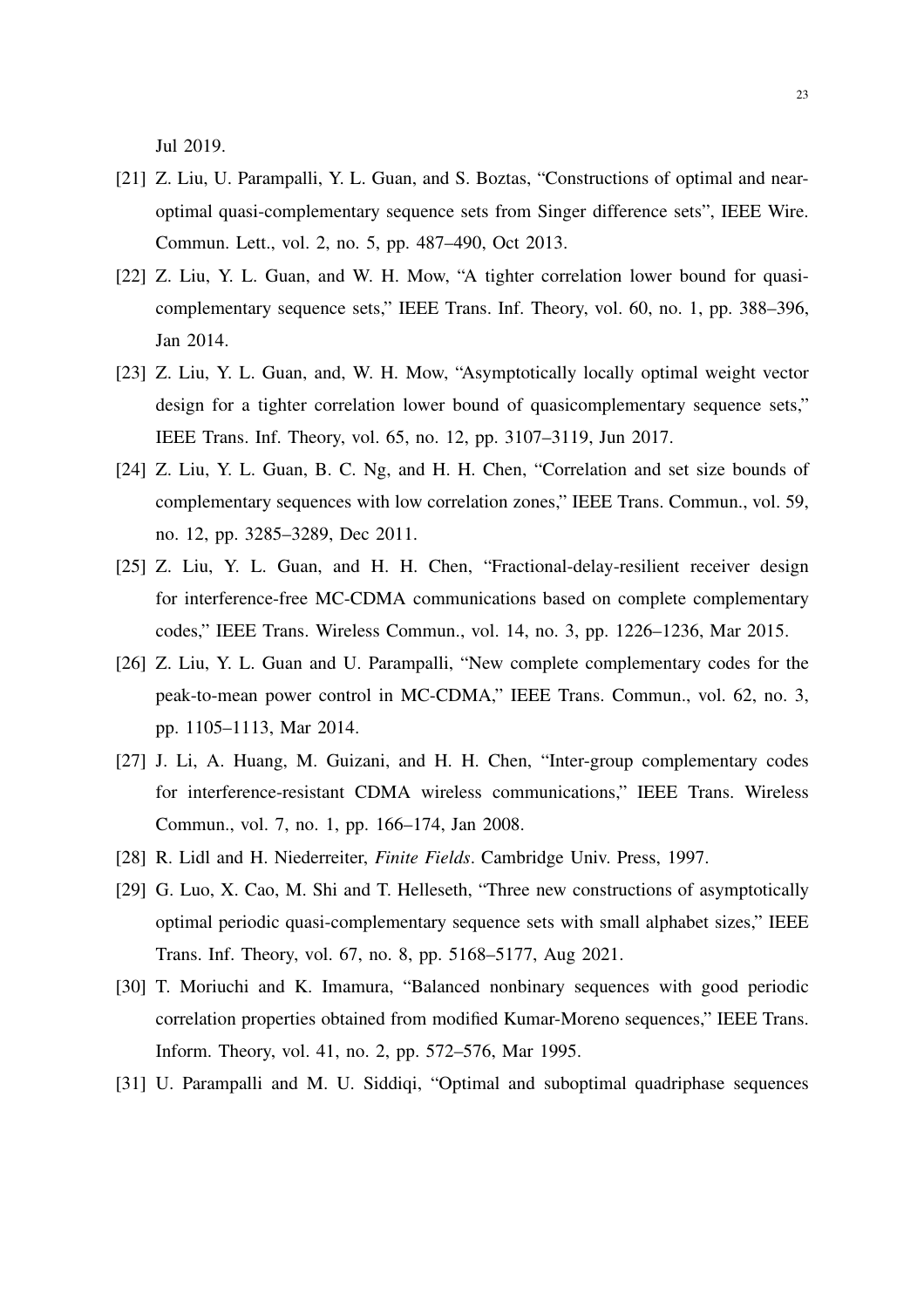Jul 2019.

- <span id="page-22-2"></span>[21] Z. Liu, U. Parampalli, Y. L. Guan, and S. Boztas, "Constructions of optimal and nearoptimal quasi-complementary sequence sets from Singer difference sets", IEEE Wire. Commun. Lett., vol. 2, no. 5, pp. 487–490, Oct 2013.
- <span id="page-22-3"></span>[22] Z. Liu, Y. L. Guan, and W. H. Mow, "A tighter correlation lower bound for quasicomplementary sequence sets," IEEE Trans. Inf. Theory, vol. 60, no. 1, pp. 388–396, Jan 2014.
- <span id="page-22-4"></span>[23] Z. Liu, Y. L. Guan, and, W. H. Mow, "Asymptotically locally optimal weight vector design for a tighter correlation lower bound of quasicomplementary sequence sets," IEEE Trans. Inf. Theory, vol. 65, no. 12, pp. 3107–3119, Jun 2017.
- <span id="page-22-0"></span>[24] Z. Liu, Y. L. Guan, B. C. Ng, and H. H. Chen, "Correlation and set size bounds of complementary sequences with low correlation zones," IEEE Trans. Commun., vol. 59, no. 12, pp. 3285–3289, Dec 2011.
- <span id="page-22-5"></span>[25] Z. Liu, Y. L. Guan, and H. H. Chen, "Fractional-delay-resilient receiver design for interference-free MC-CDMA communications based on complete complementary codes," IEEE Trans. Wireless Commun., vol. 14, no. 3, pp. 1226–1236, Mar 2015.
- [26] Z. Liu, Y. L. Guan and U. Parampalli, "New complete complementary codes for the peak-to-mean power control in MC-CDMA," IEEE Trans. Commun., vol. 62, no. 3, pp. 1105–1113, Mar 2014.
- <span id="page-22-1"></span>[27] J. Li, A. Huang, M. Guizani, and H. H. Chen, "Inter-group complementary codes for interference-resistant CDMA wireless communications," IEEE Trans. Wireless Commun., vol. 7, no. 1, pp. 166–174, Jan 2008.
- <span id="page-22-7"></span>[28] R. Lidl and H. Niederreiter, *Finite Fields*. Cambridge Univ. Press, 1997.
- <span id="page-22-6"></span>[29] G. Luo, X. Cao, M. Shi and T. Helleseth, "Three new constructions of asymptotically optimal periodic quasi-complementary sequence sets with small alphabet sizes," IEEE Trans. Inf. Theory, vol. 67, no. 8, pp. 5168–5177, Aug 2021.
- <span id="page-22-8"></span>[30] T. Moriuchi and K. Imamura, "Balanced nonbinary sequences with good periodic correlation properties obtained from modified Kumar-Moreno sequences," IEEE Trans. Inform. Theory, vol. 41, no. 2, pp. 572–576, Mar 1995.
- <span id="page-22-9"></span>[31] U. Parampalli and M. U. Siddiqi, "Optimal and suboptimal quadriphase sequences